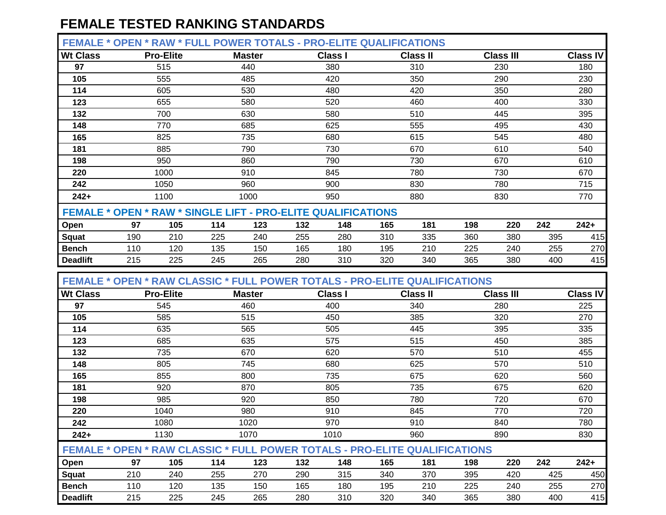| <b>FEMALE * OPEN * RAW * FULL POWER TOTALS - PRO-ELITE QUALIFICATIONS</b> |                          |                  |     |               |     |                |     |                 |     |                  |     |          |
|---------------------------------------------------------------------------|--------------------------|------------------|-----|---------------|-----|----------------|-----|-----------------|-----|------------------|-----|----------|
| <b>Wt Class</b>                                                           |                          | <b>Pro-Elite</b> |     | <b>Master</b> |     | <b>Class I</b> |     | <b>Class II</b> |     | <b>Class III</b> |     | Class IV |
| 97                                                                        |                          | 515              |     | 440           |     | 380            |     | 310             |     | 230              |     | 180      |
| 105                                                                       |                          | 555              |     | 485           |     | 420            |     | 350             |     | 290              |     | 230      |
| 114                                                                       |                          | 605              |     | 530           |     | 480            |     | 420             |     | 350              |     | 280      |
| 123                                                                       |                          | 655              |     | 580           |     | 520            |     | 460             |     | 400              |     | 330      |
| 132                                                                       |                          | 700              |     | 630           |     | 580            |     | 510             |     | 445              |     | 395      |
| 148                                                                       | 770<br>685<br>825<br>735 |                  |     |               |     | 625            |     | 555             |     | 495              |     | 430      |
| 165                                                                       |                          |                  |     |               |     | 680            |     | 615             |     | 545              |     | 480      |
| 181                                                                       | 885<br>790               |                  |     |               |     | 730            |     | 670             |     | 610              |     | 540      |
| 198                                                                       |                          | 950              |     | 860           |     | 790            |     | 730             |     | 670              |     | 610      |
| 220                                                                       |                          | 1000             |     | 910           |     | 845            |     | 780             |     | 730              |     | 670      |
| 242                                                                       |                          | 1050             |     | 960           |     | 900            |     | 830             |     | 780              |     | 715      |
| $242+$                                                                    |                          | 1100             |     | 1000          |     | 950            |     | 880             |     | 830              |     | 770      |
| <b>FEMALE * OPEN * RAW * SINGLE LIFT - PRO-ELITE QUALIFICATIONS</b>       |                          |                  |     |               |     |                |     |                 |     |                  |     |          |
| Open                                                                      | 97                       | 105              | 114 | 123           | 132 | 148            | 165 | 181             | 198 | 220              | 242 | $242+$   |
| <b>Squat</b>                                                              | 225<br>240<br>190<br>210 |                  | 255 | 280           | 310 | 335            | 360 | 380             | 395 | 415              |     |          |
| <b>Bench</b>                                                              | 110                      | 120              | 135 | 150           | 165 | 180            | 195 | 210             | 225 | 240              | 255 | 270      |
| <b>Deadlift</b>                                                           | 215                      | 225              | 245 | 265           | 280 | 310            | 320 | 340             | 365 | 380              | 400 | 415      |

 **FEMALE \* OPEN \* RAW CLASSIC \* FULL POWER TOTALS - PRO-ELITE QUALIFICATIONS**

| <b>Wt Class</b> |                                                                                   | <b>Pro-Elite</b> |     | <b>Master</b> |     | <b>Class I</b> |     | <b>Class II</b> |     | <b>Class III</b> |     | <b>Class IV</b> |
|-----------------|-----------------------------------------------------------------------------------|------------------|-----|---------------|-----|----------------|-----|-----------------|-----|------------------|-----|-----------------|
| 97              |                                                                                   | 545              |     | 460           |     | 400            |     | 340             |     | 280              |     | 225             |
| 105             |                                                                                   | 585              |     | 515           |     | 450            |     | 385             |     | 320              |     | 270             |
| 114             |                                                                                   | 635              |     | 565           |     | 505            |     | 445             |     | 395              |     | 335             |
| 123             |                                                                                   | 685              |     | 635           |     | 575            |     | 515             |     | 450              |     | 385             |
| 132             |                                                                                   | 735              |     | 670           |     | 620            |     | 570             |     | 510              |     | 455             |
| 148             |                                                                                   | 805              |     | 745           |     | 680            |     | 625             |     | 570              |     | 510             |
| 165             |                                                                                   | 855              |     | 800           |     | 735            |     | 675             |     | 620              |     | 560             |
| 181             |                                                                                   | 920              |     | 870           |     | 805            |     | 735             |     | 675              |     | 620             |
| 198             |                                                                                   | 985              |     |               |     | 850            |     | 780             |     | 720              |     | 670             |
| 220             |                                                                                   | 1040             |     | 980           |     | 910            |     | 845             |     | 770              |     | 720             |
| 242             |                                                                                   | 1080             |     | 1020          |     | 970            |     | 910             |     | 840              |     | 780             |
| $242+$          |                                                                                   | 1130             |     | 1070          |     | 1010           |     | 960             |     | 890              |     | 830             |
|                 | <b>FEMALE * OPEN * RAW CLASSIC * FULL POWER TOTALS - PRO-ELITE QUALIFICATIONS</b> |                  |     |               |     |                |     |                 |     |                  |     |                 |
| Open            | 97                                                                                | 105              | 114 | 123           | 132 | 148            | 165 | 181             | 198 | 220              | 242 | $242+$          |
| <b>Squat</b>    | 210                                                                               | 240              | 255 | 270           | 290 | 315            | 340 | 370             | 395 | 420              | 425 | 450             |
| <b>Bench</b>    | 110                                                                               | 120              | 135 | 150           | 165 | 180            | 195 | 210             | 225 | 240              | 255 | 270             |
| <b>Deadlift</b> | 215                                                                               | 225              | 245 | 265           | 280 | 310            | 320 | 340             | 365 | 380              | 400 | 415             |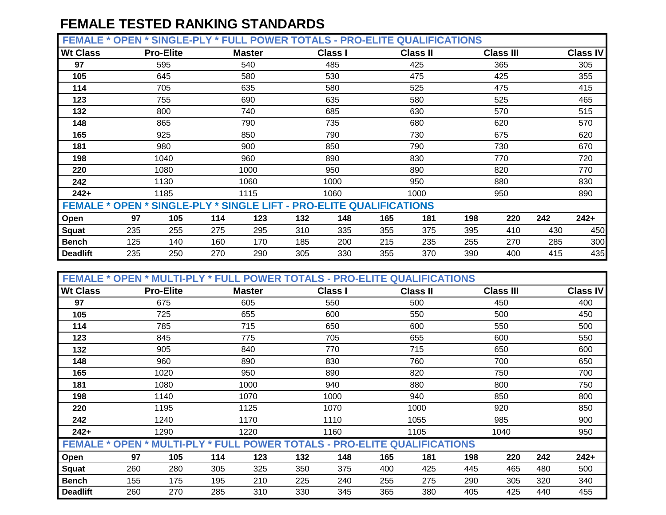**FEMALE \* OPEN \* SINGLE-PLY \* FULL POWER TOTALS - PRO-ELITE QUALIFICATIONS**

| --------        | ---- | UUTUL 1 LI                                                                 |     |               | EE I VIIER IVIAEU |                | .   | <b>GUALILIUATIONU</b> |     |                  |     |                 |
|-----------------|------|----------------------------------------------------------------------------|-----|---------------|-------------------|----------------|-----|-----------------------|-----|------------------|-----|-----------------|
| <b>Wt Class</b> |      | <b>Pro-Elite</b>                                                           |     | <b>Master</b> |                   | <b>Class I</b> |     | <b>Class II</b>       |     | <b>Class III</b> |     | <b>Class IV</b> |
| 97              |      | 595                                                                        |     | 540           |                   | 485            |     | 425                   |     | 365              |     | 305             |
| 105             |      | 645                                                                        |     | 580           |                   | 530            |     | 475                   |     | 425              |     | 355             |
| 114             |      | 705                                                                        |     | 635           |                   | 580            |     | 525                   |     | 475              |     | 415             |
| 123             |      | 755                                                                        |     | 690           |                   | 635            |     | 580                   |     | 525              |     | 465             |
| 132             |      | 800                                                                        |     | 740           |                   | 685            |     | 630                   |     | 570              |     | 515             |
| 148             |      | 865                                                                        |     | 790           |                   | 735            |     | 680                   |     | 620              |     | 570             |
| 165             |      | 925<br>850                                                                 |     |               |                   | 790            |     | 730                   |     | 675              |     | 620             |
| 181             |      | 980                                                                        |     | 900           |                   | 850            |     | 790                   |     | 730              |     | 670             |
| 198             |      | 1040                                                                       |     | 960           |                   | 890            |     | 830                   |     | 770              |     | 720             |
| 220             |      | 1080                                                                       |     | 1000          |                   | 950            |     | 890                   |     | 820              |     | 770             |
| 242             |      | 1130                                                                       |     | 1060          |                   | 1000           |     | 950                   |     | 880              |     | 830             |
| $242+$          |      | 1185                                                                       |     | 1115          |                   | 1060           |     | 1000                  |     | 950              |     | 890             |
|                 |      | <b>FEMALE * OPEN * SINGLE-PLY * SINGLE LIFT - PRO-ELITE QUALIFICATIONS</b> |     |               |                   |                |     |                       |     |                  |     |                 |
| Open            | 97   | 105                                                                        | 114 | 123           | 132               | 148            | 165 | 181                   | 198 | 220              | 242 | $242+$          |
| <b>Squat</b>    | 235  | 255                                                                        | 275 | 295           | 310               | 335            | 355 | 375                   | 395 | 410              | 430 | 450             |
| <b>Bench</b>    | 125  | 140                                                                        | 160 | 170           | 185               | 200            | 215 | 235                   | 255 | 270              | 285 | 300             |
| <b>Deadlift</b> | 235  | 250                                                                        | 270 | 290           | 305               | 330            | 355 | 370                   | 390 | 400              | 415 | 435             |

| <b>FEMALE * OPEN * MULTI-PLY * FULL POWER TOTALS - PRO-ELITE QUALIFICATIONS</b> |      |                           |      |               |     |                |     |                 |     |                  |     |                 |
|---------------------------------------------------------------------------------|------|---------------------------|------|---------------|-----|----------------|-----|-----------------|-----|------------------|-----|-----------------|
| <b>Wt Class</b>                                                                 |      | <b>Pro-Elite</b>          |      | <b>Master</b> |     | <b>Class I</b> |     | <b>Class II</b> |     | <b>Class III</b> |     | <b>Class IV</b> |
| 97                                                                              |      | 675                       |      | 605           |     | 550            |     | 500             |     | 450              |     | 400             |
| 105                                                                             |      | 725                       |      | 655           |     | 600            |     | 550             |     | 500              |     | 450             |
| 114                                                                             |      | 785                       |      | 715           |     | 650            |     | 600             |     | 550              |     | 500             |
| 123                                                                             |      | 845                       |      | 775           |     | 705            |     | 655             |     | 600              |     | 550             |
| 132                                                                             |      | 905                       |      | 840           |     | 770            |     | 715             |     | 650              |     | 600             |
| 148                                                                             |      | 890<br>960<br>1020<br>950 |      |               |     | 830            |     | 760             |     | 700              |     | 650             |
| 165                                                                             | 1080 |                           |      |               |     | 890            |     | 820             |     | 750              |     | 700             |
| 181                                                                             |      |                           | 1000 |               | 940 |                | 880 |                 | 800 |                  | 750 |                 |
| 198                                                                             |      | 1140                      |      | 1070          |     | 1000           |     | 940             |     | 850              |     | 800             |
| 220                                                                             |      | 1195                      |      | 1125          |     | 1070           |     | 1000            |     | 920              |     | 850             |
| 242                                                                             |      | 1240                      |      | 1170          |     | 1110           |     | 1055            |     | 985              |     | 900             |
| $242+$                                                                          |      | 1290                      |      | 1220          |     | 1160           |     | 1105            |     | 1040             |     | 950             |
| <b>FEMALE * OPEN * MULTI-PLY * FULL POWER TOTALS - PRO-ELITE QUALIFICATIONS</b> |      |                           |      |               |     |                |     |                 |     |                  |     |                 |
| Open                                                                            | 97   | 105                       | 114  | 123           | 132 | 148            | 165 | 181             | 198 | 220              | 242 | $242+$          |
| <b>Squat</b>                                                                    | 260  | 280                       | 305  | 325           | 350 | 375            | 400 | 425             | 445 | 465              | 480 | 500             |
| <b>Bench</b>                                                                    | 155  | 175                       | 195  | 210           | 225 | 240            | 255 | 275             | 290 | 305              | 320 | 340             |
| <b>Deadlift</b>                                                                 | 260  | 270                       | 285  | 310           | 330 | 345            | 365 | 380             | 405 | 425              | 440 | 455             |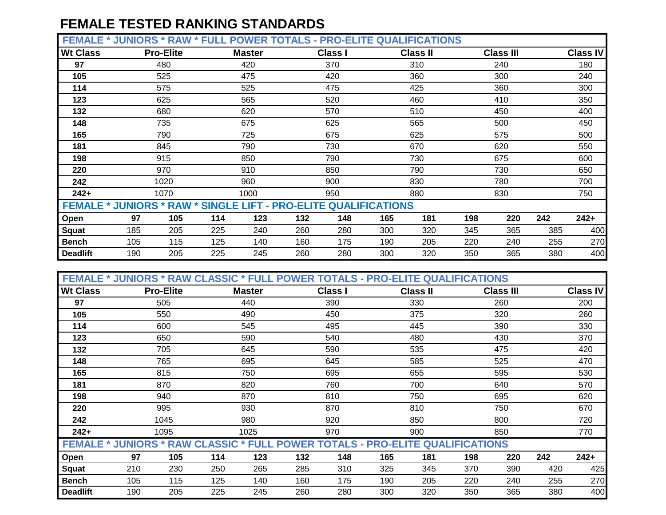**FEMALE \* JUNIORS \* RAW \* FULL POWER TOTALS - PRO-ELITE QUALIFICATIONS**

| --------        | ,,,,,,,,,,                                                             | <b>.</b>         | .   |               | UIILI\ IVIALU | $\sim$         | ---- | $\sim$          |     |                  |     |                 |
|-----------------|------------------------------------------------------------------------|------------------|-----|---------------|---------------|----------------|------|-----------------|-----|------------------|-----|-----------------|
| <b>Wt Class</b> |                                                                        | <b>Pro-Elite</b> |     | <b>Master</b> |               | <b>Class I</b> |      | <b>Class II</b> |     | <b>Class III</b> |     | <b>Class IV</b> |
| 97              |                                                                        | 480              |     | 420           |               | 370            |      | 310             |     | 240              |     | 180             |
| 105             |                                                                        | 525              |     | 475           |               | 420            |      | 360             |     | 300              |     | 240             |
| 114             |                                                                        | 575              |     | 525           |               | 475            |      | 425             |     | 360              |     | 300             |
| 123             |                                                                        | 625              |     | 565           |               | 520            |      | 460             |     | 410              |     | 350             |
| 132             |                                                                        | 680              |     | 620           |               | 570            |      | 510             |     | 450              |     | 400             |
| 148             |                                                                        | 735              |     | 675           |               | 625            |      | 565             |     | 500              |     | 450             |
| 165             |                                                                        | 790              |     | 725           |               | 675            |      | 625             |     | 575              |     | 500             |
| 181             |                                                                        | 845              |     | 790           |               | 730            |      | 670             |     | 620              |     | 550             |
| 198             |                                                                        | 915              |     | 850           |               | 790            |      | 730             |     | 675              |     | 600             |
| 220             |                                                                        | 970              |     | 910           |               | 850            |      | 790             |     | 730              |     | 650             |
| 242             |                                                                        | 1020             |     | 960           |               | 900            |      | 830             |     | 780              |     | 700             |
| $242+$          |                                                                        | 1070             |     | 1000          |               | 950            |      | 880             |     | 830              |     | 750             |
|                 | <b>FEMALE * JUNIORS * RAW * SINGLE LIFT - PRO-ELITE QUALIFICATIONS</b> |                  |     |               |               |                |      |                 |     |                  |     |                 |
| Open            | 97                                                                     | 105              | 114 | 123           | 132           | 148            | 165  | 181             | 198 | 220              | 242 | $242+$          |
| Squat           | 185                                                                    | 205              | 225 | 240           | 260           | 280            | 300  | 320             | 345 | 365              | 385 | 400             |
| <b>Bench</b>    | 105                                                                    | 115              | 125 | 140           | 160           | 175            | 190  | 205             | 220 | 240              | 255 | 270             |
| <b>Deadlift</b> | 190                                                                    | 205              | 225 | 245           | 260           | 280            | 300  | 320             | 350 | 365              | 380 | 400             |

|                 | <b>FEMALE * JUNIORS * RAW CLASSIC * FULL POWER TOTALS - PRO-ELITE QUALIFICATIONS</b> |                          |            |               |     |                |     |                 |     |                  |     |                 |
|-----------------|--------------------------------------------------------------------------------------|--------------------------|------------|---------------|-----|----------------|-----|-----------------|-----|------------------|-----|-----------------|
| <b>Wt Class</b> | <b>Pro-Elite</b>                                                                     |                          |            | <b>Master</b> |     | <b>Class I</b> |     | <b>Class II</b> |     | <b>Class III</b> |     | <b>Class IV</b> |
| 97              | 505                                                                                  |                          |            | 440           |     | 390            |     | 330             |     | 260              |     | 200             |
| 105             | 550                                                                                  |                          |            | 490           |     | 450            |     | 375             |     | 320              |     | 260             |
| 114             | 600                                                                                  |                          |            | 545           |     | 495            |     | 445             |     | 390              |     | 330             |
| 123             | 650                                                                                  |                          |            | 590           |     | 540            |     | 480             |     | 430              |     | 370             |
| 132             | 705                                                                                  |                          |            | 645           |     | 590            |     | 535             |     | 475              |     | 420             |
| 148             |                                                                                      | 765<br>695<br>815<br>750 |            |               |     | 645            |     | 585             |     | 525              |     | 470             |
| 165             |                                                                                      |                          |            |               |     | 695            |     | 655             |     | 595              |     | 530             |
| 181             | 870<br>820                                                                           |                          |            |               |     | 760            |     | 700             |     | 640              |     | 570             |
| 198             | 940                                                                                  |                          |            | 870           |     | 810            |     | 750             |     | 695              |     | 620             |
| 220             | 995                                                                                  |                          |            | 930           |     | 870            |     | 810             |     | 750              |     | 670             |
| 242             | 1045                                                                                 |                          |            | 980           |     | 920            |     | 850             |     | 800              |     | 720             |
| $242+$          | 1095                                                                                 |                          |            | 1025          |     | 970            |     | 900             |     | 850              |     | 770             |
|                 | <b>FEMALE * JUNIORS * RAW CLASSIC * FULL POWER TOTALS - PRO-ELITE QUALIFICATIONS</b> |                          |            |               |     |                |     |                 |     |                  |     |                 |
| Open            | 97                                                                                   | 105                      | 123<br>114 |               | 132 | 148            | 165 | 181             | 198 | 220              | 242 | $242+$          |
| <b>Squat</b>    | 210                                                                                  | 230                      | 250        | 285<br>265    |     | 310            | 325 | 345             | 370 | 390              | 420 | 425             |
| <b>Bench</b>    | 105                                                                                  | 115                      | 125        | 140           | 160 | 175            | 190 | 205             | 220 | 240              | 255 | 270             |
| <b>Deadlift</b> | 190                                                                                  | 205                      | 225        | 245           | 260 | 280            | 300 | 320             | 350 | 365              | 380 | 400             |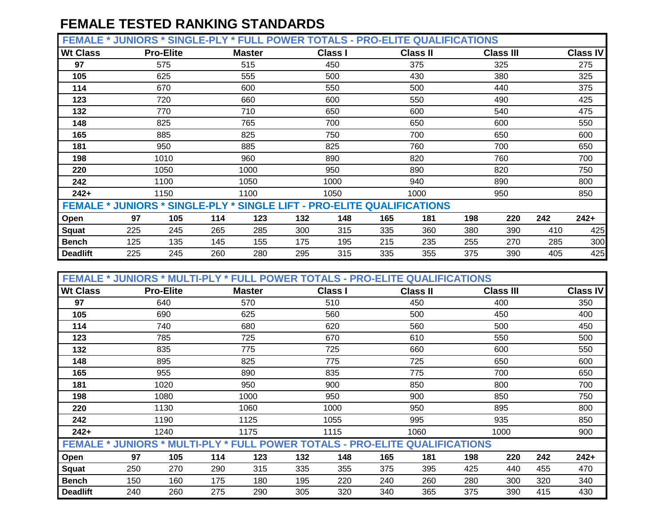**FEMALE \* JUNIORS \* SINGLE-PLY \* FULL POWER TOTALS - PRO-ELITE QUALIFICATIONS**

| <b>Wt Class</b> |                                                                               | <b>Pro-Elite</b> |     | <b>Master</b> |     | <b>Class I</b> |     | <b>Class II</b> |     | <b>Class III</b> |     | Class IV |
|-----------------|-------------------------------------------------------------------------------|------------------|-----|---------------|-----|----------------|-----|-----------------|-----|------------------|-----|----------|
| 97              |                                                                               | 575              |     | 515           |     | 450            |     | 375             |     | 325              |     | 275      |
| 105             |                                                                               | 625              |     | 555           |     | 500            |     | 430             |     | 380              |     | 325      |
| 114             |                                                                               | 670              |     | 600           |     | 550            |     | 500             |     | 440              |     | 375      |
| 123             |                                                                               | 720              |     | 660           |     | 600            |     | 550             |     | 490              |     | 425      |
| 132             |                                                                               | 770              |     | 710           |     | 650            |     | 600             |     | 540              |     | 475      |
| 148             |                                                                               | 825              |     | 765           |     | 700            |     | 650             |     | 600              |     | 550      |
| 165             |                                                                               | 885              |     | 825           |     | 750            |     | 700             |     | 650              |     | 600      |
| 181             |                                                                               | 950              |     | 885           |     | 825            |     | 760             |     | 700              |     | 650      |
| 198             |                                                                               | 1010             |     | 960           |     | 890            |     | 820             |     | 760              |     | 700      |
| 220             |                                                                               | 1050             |     | 1000          |     | 950            |     | 890             |     | 820              |     | 750      |
| 242             |                                                                               | 1100             |     | 1050          |     | 1000           |     | 940             |     | 890              |     | 800      |
| $242+$          |                                                                               | 1150             |     | 1100          |     | 1050           |     | 1000            |     | 950              |     | 850      |
|                 | <b>FEMALE * JUNIORS * SINGLE-PLY * SINGLE LIFT - PRO-ELITE QUALIFICATIONS</b> |                  |     |               |     |                |     |                 |     |                  |     |          |
| Open            | 97                                                                            | 105              | 114 | 123           | 132 | 148            | 165 | 181             | 198 | 220              | 242 | $242+$   |
| Squat           | 225                                                                           | 245              | 265 | 285           | 300 | 315            | 335 | 360             | 380 | 390              | 410 | 425      |
| <b>Bench</b>    | 125                                                                           | 135              | 145 | 155           | 175 | 195            | 215 | 235             | 255 | 270              | 285 | 300      |
| <b>Deadlift</b> | 225                                                                           | 245              | 260 | 280           | 295 | 315            | 335 | 355             | 375 | 390              | 405 | 425      |

| <b>FEMALE * JUNIORS * MULTI-PLY * FULL POWER TOTALS - PRO-ELITE QUALIFICATIONS</b> |     |                  |     |               |     |                |     |                 |     |                  |     |     |                 |
|------------------------------------------------------------------------------------|-----|------------------|-----|---------------|-----|----------------|-----|-----------------|-----|------------------|-----|-----|-----------------|
| <b>Wt Class</b>                                                                    |     | <b>Pro-Elite</b> |     | <b>Master</b> |     | <b>Class I</b> |     | <b>Class II</b> |     | <b>Class III</b> |     |     | <b>Class IV</b> |
| 97                                                                                 |     | 640              |     | 570           |     | 510            |     | 450             |     | 400              |     |     | 350             |
| 105                                                                                |     | 690              |     | 625           |     | 560            |     | 500             |     | 450              |     |     | 400             |
| 114                                                                                |     | 740              |     | 680           |     | 620            |     | 560             |     | 500              |     |     | 450             |
| 123                                                                                |     | 785              |     | 725           |     | 670            |     | 610             |     | 550              |     |     | 500             |
| 132                                                                                |     | 835              |     | 775           |     | 725            |     | 660             |     | 600              |     |     | 550             |
| 148                                                                                |     | 895              |     | 825           |     | 775            |     | 725             |     | 650              |     |     | 600             |
| 165                                                                                |     | 955              |     | 890           |     | 835            |     | 775             |     | 700              |     |     | 650             |
| 181                                                                                |     | 1020<br>950      |     |               |     | 900            |     | 850             |     | 800              |     |     | 700             |
| 198                                                                                |     | 1080             |     | 1000          |     | 950            |     | 900             |     | 850              |     |     | 750             |
| 220                                                                                |     | 1130             |     | 1060          |     | 1000           |     | 950             |     | 895              |     |     | 800             |
| 242                                                                                |     | 1190             |     | 1125          |     | 1055           |     | 995             |     | 935              |     |     | 850             |
| $242+$                                                                             |     | 1240             |     | 1175          |     | 1115           |     | 1060            |     | 1000             |     |     | 900             |
| <b>FEMALE * JUNIORS * MULTI-PLY * FULL POWER TOTALS - PRO-ELITE QUALIFICATIONS</b> |     |                  |     |               |     |                |     |                 |     |                  |     |     |                 |
| Open                                                                               | 97  | 105              | 114 | 123           | 132 | 148            | 165 | 181             | 198 |                  | 220 | 242 | $242+$          |
| Squat                                                                              | 250 | 270              | 290 | 315           | 335 | 355            | 375 | 395             | 425 |                  | 440 | 455 | 470             |
| <b>Bench</b>                                                                       | 150 | 160              | 175 | 180           | 195 | 220            | 240 | 260             | 280 |                  | 300 | 320 | 340             |
| <b>Deadlift</b>                                                                    | 240 | 260              | 275 | 290           | 305 | 320            | 340 | 365             | 375 |                  | 390 | 415 | 430             |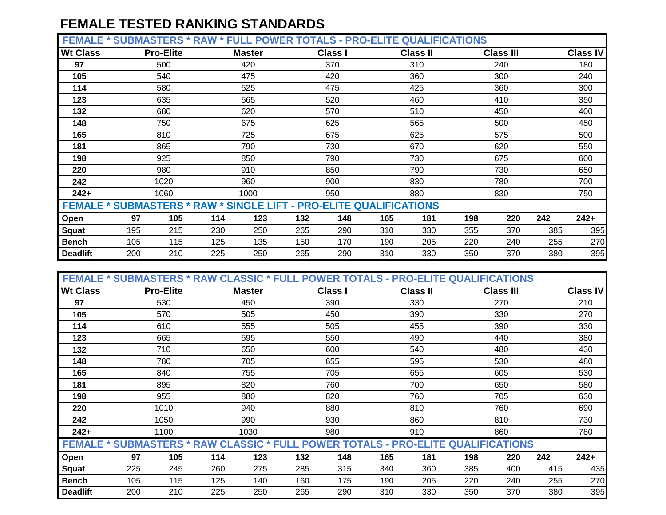**FEMALE \* SUBMASTERS \* RAW \* FULL POWER TOTALS - PRO-ELITE QUALIFICATIONS**

| --------        | $V$ ובו טרווושט                                                           |                  | <b>.</b> | ---           | <u>UNEN IVIALU</u> |                | .   | <b>SUREILIURIIUITU</b> |     |                  |     |                 |
|-----------------|---------------------------------------------------------------------------|------------------|----------|---------------|--------------------|----------------|-----|------------------------|-----|------------------|-----|-----------------|
| <b>Wt Class</b> |                                                                           | <b>Pro-Elite</b> |          | <b>Master</b> |                    | <b>Class I</b> |     | <b>Class II</b>        |     | <b>Class III</b> |     | <b>Class IV</b> |
| 97              |                                                                           | 500              |          | 420           |                    | 370            |     | 310                    |     | 240              |     | 180             |
| 105             |                                                                           | 540              |          | 475           |                    | 420            |     | 360                    |     | 300              |     | 240             |
| 114             |                                                                           | 580              |          | 525           |                    | 475            |     | 425                    |     | 360              |     | 300             |
| 123             |                                                                           | 635              |          | 565           |                    | 520            |     | 460                    |     | 410              |     | 350             |
| 132             |                                                                           | 680              |          | 620           |                    | 570            |     | 510                    |     | 450              |     | 400             |
| 148             |                                                                           | 750              |          | 675           |                    | 625            |     | 565                    |     | 500              |     | 450             |
| 165             |                                                                           | 810              |          | 725           |                    | 675            |     | 625                    |     | 575              |     | 500             |
| 181             |                                                                           | 865              | 790      |               |                    | 730            |     | 670                    |     | 620              |     | 550             |
| 198             |                                                                           | 925              |          | 850           |                    | 790            |     | 730                    |     | 675              |     | 600             |
| 220             |                                                                           | 980              |          | 910           |                    | 850            |     | 790                    |     | 730              |     | 650             |
| 242             |                                                                           | 1020             |          | 960           |                    | 900            |     | 830                    |     | 780              |     | 700             |
| $242+$          |                                                                           | 1060             |          | 1000          |                    | 950            |     | 880                    |     | 830              |     | 750             |
|                 | <b>FEMALE * SUBMASTERS * RAW * SINGLE LIFT - PRO-ELITE QUALIFICATIONS</b> |                  |          |               |                    |                |     |                        |     |                  |     |                 |
| Open            | 97                                                                        | 105              | 114      | 123           | 132                | 148            | 165 | 181                    | 198 | 220              | 242 | $242+$          |
| <b>Squat</b>    | 195                                                                       | 215              | 230      | 250           | 265                | 290            | 310 | 330                    | 355 | 370              | 385 | 395             |
| <b>Bench</b>    | 105                                                                       | 115              | 125      | 135           | 150                | 170            | 190 | 205                    | 220 | 240              | 255 | 270             |
| <b>Deadlift</b> | 200                                                                       | 210              | 225      | 250           | 265                | 290            | 310 | 330                    | 350 | 370              | 380 | 395             |

| <b>FEMALE * SUBMASTERS * RAW CLASSIC * FULL POWER TOTALS - PRO-ELITE QUALIFICATIONS</b> |     |                  |            |               |     |                |     |                 |     |                  |     |                 |
|-----------------------------------------------------------------------------------------|-----|------------------|------------|---------------|-----|----------------|-----|-----------------|-----|------------------|-----|-----------------|
| <b>Wt Class</b>                                                                         |     | <b>Pro-Elite</b> |            | <b>Master</b> |     | <b>Class I</b> |     | <b>Class II</b> |     | <b>Class III</b> |     | <b>Class IV</b> |
| 97                                                                                      |     | 530              |            | 450           |     | 390            |     | 330             |     | 270              |     | 210             |
| 105                                                                                     |     | 570              |            | 505           |     | 450            |     | 390             |     | 330              |     | 270             |
| 114                                                                                     |     | 610              |            | 555           |     | 505            |     | 455             |     | 390              |     | 330             |
| 123                                                                                     |     | 665              |            | 595           |     | 550            |     | 490             |     | 440              |     | 380             |
| 132                                                                                     |     | 710              |            | 650           |     | 600            |     | 540             |     | 480              |     | 430             |
| 148                                                                                     |     | 780              | 705<br>755 |               |     | 655            |     | 595             |     | 530              |     | 480             |
| 165                                                                                     |     | 840              |            |               |     | 705            |     | 655             |     | 605              |     | 530             |
| 181                                                                                     |     | 895              |            | 820           |     | 760            |     | 700             |     | 650              |     | 580             |
| 198                                                                                     |     | 955              |            | 880           |     | 820            |     | 760             |     | 705              |     | 630             |
| 220                                                                                     |     | 1010             |            | 940           |     | 880            |     | 810             |     | 760              |     | 690             |
| 242                                                                                     |     | 1050             |            | 990           |     | 930            |     | 860             |     | 810              |     | 730             |
| $242+$                                                                                  |     | 1100             |            | 1030          |     | 980            |     | 910             |     | 860              |     | 780             |
| <b>FEMALE * SUBMASTERS * RAW CLASSIC * FULL POWER TOTALS - PRO-ELITE QUALIFICATIONS</b> |     |                  |            |               |     |                |     |                 |     |                  |     |                 |
| Open                                                                                    | 97  | 105              | 114        | 123           | 132 | 148            | 165 | 181             | 198 | 220              | 242 | $242+$          |
| <b>Squat</b>                                                                            | 225 | 245              | 260        | 275           | 285 | 315            | 340 | 360             | 385 | 400              | 415 | 435             |
| <b>Bench</b>                                                                            | 105 | 115              | 125        | 140           | 160 | 175            | 190 | 205             | 220 | 240              | 255 | 270             |
| <b>Deadlift</b>                                                                         | 200 | 210              | 225        | 250           | 265 | 290            | 310 | 330             | 350 | 370              | 380 | 395             |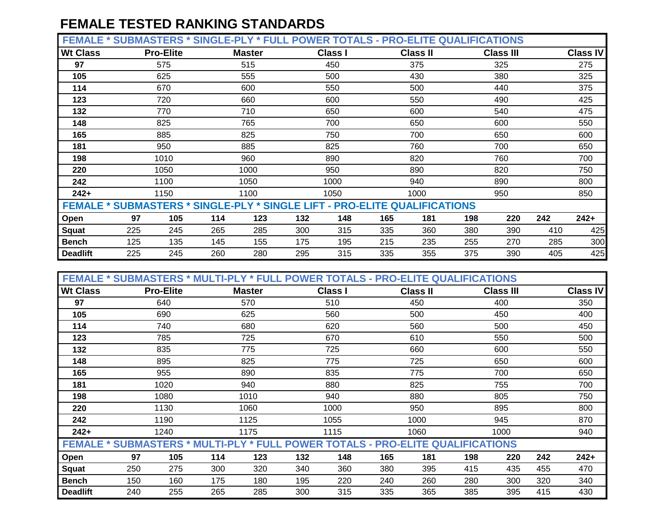**FEMALE \* SUBMASTERS \* SINGLE-PLY \* FULL POWER TOTALS - PRO-ELITE QUALIFICATIONS**

| <b>Wt Class</b> |                                                                                  | <b>Pro-Elite</b> |     | <b>Master</b> |     | <b>Class I</b> |     | <b>Class II</b> |     | <b>Class III</b> |     | <b>Class IV</b> |
|-----------------|----------------------------------------------------------------------------------|------------------|-----|---------------|-----|----------------|-----|-----------------|-----|------------------|-----|-----------------|
| 97              |                                                                                  | 575              |     | 515           |     | 450            |     | 375             |     | 325              |     | 275             |
| 105             |                                                                                  | 625              |     | 555           |     | 500            |     | 430             |     | 380              |     | 325             |
| 114             |                                                                                  | 670              |     | 600           |     | 550            |     | 500             |     | 440              |     | 375             |
| 123             |                                                                                  | 720              |     | 660           |     | 600            |     | 550             |     | 490              |     | 425             |
| 132             |                                                                                  | 770              |     | 710           |     | 650            |     | 600             |     | 540              |     | 475             |
| 148             |                                                                                  | 825              |     | 765           |     | 700            |     | 650             |     | 600              |     | 550             |
| 165             |                                                                                  | 885              |     | 825           |     | 750            |     | 700             |     | 650              |     | 600             |
| 181             |                                                                                  | 950<br>885       |     |               | 825 |                | 760 |                 | 700 |                  | 650 |                 |
| 198             |                                                                                  | 1010             |     | 960           |     | 890            |     | 820             |     | 760              |     | 700             |
| 220             |                                                                                  | 1050             |     | 1000          |     | 950            |     | 890             |     | 820              |     | 750             |
| 242             |                                                                                  | 1100             |     | 1050          |     | 1000           |     | 940             |     | 890              |     | 800             |
| $242+$          |                                                                                  | 1150             |     | 1100          |     | 1050           |     | 1000            |     | 950              |     | 850             |
|                 | <b>FEMALE * SUBMASTERS * SINGLE-PLY * SINGLE LIFT - PRO-ELITE QUALIFICATIONS</b> |                  |     |               |     |                |     |                 |     |                  |     |                 |
| Open            | 97                                                                               | 105              | 114 | 123           | 132 | 148            | 165 | 181             | 198 | 220              | 242 | $242+$          |
| <b>Squat</b>    | 225                                                                              | 245              | 265 | 285           | 300 | 315            | 335 | 360             | 380 | 390              | 410 | 425             |
| <b>Bench</b>    | 125                                                                              | 135              | 145 | 155           | 175 | 195            | 215 | 235             | 255 | 270              | 285 | 300             |
| <b>Deadlift</b> | 225                                                                              | 245              | 260 | 280           | 295 | 315            | 335 | 355             | 375 | 390              | 405 | 425             |

| FEMALE * SUBMASTERS * MULTI-PLY * FULL POWER TOTALS - PRO-ELITE QUALIFICATIONS |     |                  |     |               |     |                |     |                 |     |                  |     |                 |
|--------------------------------------------------------------------------------|-----|------------------|-----|---------------|-----|----------------|-----|-----------------|-----|------------------|-----|-----------------|
| <b>Wt Class</b>                                                                |     | <b>Pro-Elite</b> |     | <b>Master</b> |     | <b>Class I</b> |     | <b>Class II</b> |     | <b>Class III</b> |     | <b>Class IV</b> |
| 97                                                                             |     | 640              |     | 570           |     | 510            |     | 450             |     | 400              |     | 350             |
| 105                                                                            |     | 690              |     | 625           |     | 560            |     | 500             |     | 450              |     | 400             |
| 114                                                                            |     | 740              |     | 680           |     | 620            |     | 560             |     | 500              |     | 450             |
| 123                                                                            |     | 785              |     | 725           |     | 670            |     | 610             |     | 550              |     | 500             |
| 132                                                                            |     | 835              |     | 775           |     | 725            |     | 660             |     | 600              |     | 550             |
| 148                                                                            |     | 895              |     | 825           |     | 775            |     | 725             |     | 650              |     | 600             |
| 165                                                                            |     | 955              |     | 890           |     | 835            |     | 775             |     | 700              |     | 650             |
| 181                                                                            |     | 1020             |     | 940           |     | 880            |     | 825             |     | 755              |     | 700             |
| 198                                                                            |     | 1080             |     | 1010          |     | 940            |     | 880             |     | 805              |     | 750             |
| 220                                                                            |     | 1130             |     | 1060          |     | 1000           |     | 950             |     | 895              |     | 800             |
| 242                                                                            |     | 1190             |     | 1125          |     | 1055           |     | 1000            |     | 945              |     | 870             |
| $242+$                                                                         |     | 1240             |     | 1175          |     | 1115           |     | 1060            |     | 1000             |     | 940             |
| FEMALE * SUBMASTERS * MULTI-PLY * FULL POWER TOTALS - PRO-ELITE QUALIFICATIONS |     |                  |     |               |     |                |     |                 |     |                  |     |                 |
| Open                                                                           | 97  | 105              | 114 | 123           | 132 | 148            | 165 | 181             | 198 | 220              | 242 | $242+$          |
| <b>Squat</b>                                                                   | 250 | 275              | 300 | 320           | 340 | 360            | 380 | 395             | 415 | 435              | 455 | 470             |
| <b>Bench</b>                                                                   | 150 | 160              | 175 | 180           | 195 | 220            | 240 | 260             | 280 | 300              | 320 | 340             |
| <b>Deadlift</b>                                                                | 240 | 255              | 265 | 285           | 300 | 315            | 335 | 365             | 385 | 395              | 415 | 430             |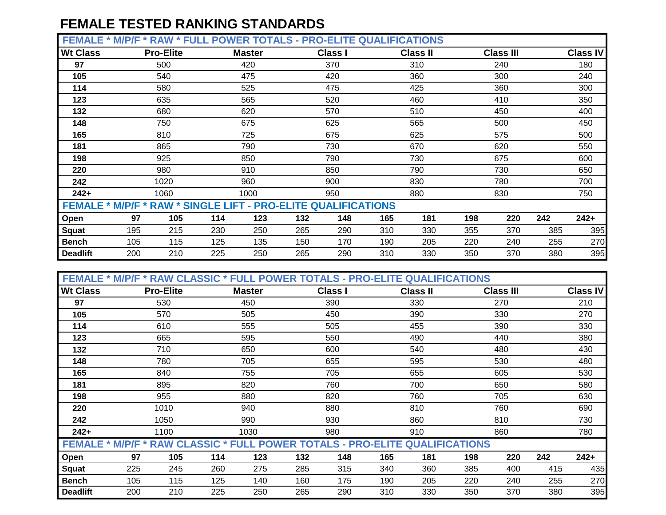**FEMALE \* M/P/F \* RAW \* FULL POWER TOTALS - PRO-ELITE QUALIFICATIONS**

| --------                                                             | <b>TVI/ 1 / 1</b> | .                | . . <u></u> | - 11 V I ALV  | $\sim$ |                |     | EENE QUAEN IUANUMU |     |                  |     |                 |
|----------------------------------------------------------------------|-------------------|------------------|-------------|---------------|--------|----------------|-----|--------------------|-----|------------------|-----|-----------------|
| <b>Wt Class</b>                                                      |                   | <b>Pro-Elite</b> |             | <b>Master</b> |        | <b>Class I</b> |     | <b>Class II</b>    |     | <b>Class III</b> |     | <b>Class IV</b> |
| 97                                                                   |                   | 500              |             | 420           |        | 370            |     | 310                |     | 240              |     | 180             |
| 105                                                                  |                   | 540              |             | 475           |        | 420            |     | 360                |     | 300              |     | 240             |
| 114                                                                  |                   | 580              |             | 525           |        | 475            |     | 425                |     | 360              |     | 300             |
| 123                                                                  |                   | 635              |             | 565           |        | 520            |     | 460                |     | 410              |     | 350             |
| 132                                                                  |                   | 680              |             | 620           |        | 570            |     | 510                |     | 450              |     | 400             |
| 148                                                                  |                   | 750              |             | 675           |        | 625            |     | 565                |     | 500              |     | 450             |
| 165                                                                  |                   | 810              |             | 725           |        | 675            |     | 625                |     | 575              |     | 500             |
| 181                                                                  |                   | 865              |             | 790           |        | 730            |     | 670                |     | 620              |     | 550             |
| 198                                                                  |                   | 925              |             | 850           |        | 790            |     | 730                |     | 675              |     | 600             |
| 220                                                                  |                   | 980              |             | 910           |        | 850            |     | 790                |     | 730              |     | 650             |
| 242                                                                  |                   | 1020             |             | 960           |        | 900            |     | 830                |     | 780              |     | 700             |
| $242+$                                                               |                   | 1060             |             | 1000          |        | 950            |     | 880                |     | 830              |     | 750             |
| <b>FEMALE * M/P/F * RAW * SINGLE LIFT - PRO-ELITE QUALIFICATIONS</b> |                   |                  |             |               |        |                |     |                    |     |                  |     |                 |
| Open                                                                 | 97                | 105              | 114         | 123           | 132    | 148            | 165 | 181                | 198 | 220              | 242 | $242+$          |
| <b>Squat</b>                                                         | 195               | 215              | 230         | 250           | 265    | 290            | 310 | 330                | 355 | 370              | 385 | 395             |
| <b>Bench</b>                                                         | 105               | 115              | 125         | 135           | 150    | 170            | 190 | 205                | 220 | 240              | 255 | 270             |
| <b>Deadlift</b>                                                      | 200               | 210              | 225         | 250           | 265    | 290            | 310 | 330                | 350 | 370              | 380 | 395             |

| FEMALE * M/P/F * RAW CLASSIC * FULL POWER TOTALS - PRO-ELITE QUALIFICATIONS        |     |                  |     |               |     |                |     |                 |     |                  |     |                 |  |
|------------------------------------------------------------------------------------|-----|------------------|-----|---------------|-----|----------------|-----|-----------------|-----|------------------|-----|-----------------|--|
| <b>Wt Class</b>                                                                    |     | <b>Pro-Elite</b> |     | <b>Master</b> |     | <b>Class I</b> |     | <b>Class II</b> |     | <b>Class III</b> |     | <b>Class IV</b> |  |
| 97                                                                                 |     | 530              |     | 450           |     | 390            |     | 330             |     | 270              |     | 210             |  |
| 105                                                                                |     | 570              |     | 505           |     | 450            |     | 390             |     | 330              |     | 270             |  |
| 114                                                                                |     | 610              |     | 555           |     | 505            |     | 455             |     | 390              |     | 330             |  |
| 123                                                                                |     | 665              |     | 595           |     | 550            |     | 490             |     | 440              |     | 380             |  |
| 132                                                                                |     | 710              |     | 650           |     | 600            |     | 540             |     | 480              |     | 430             |  |
| 148                                                                                |     | 780              |     | 705           |     | 655            |     | 595             |     | 530              |     | 480             |  |
| 165                                                                                |     | 840              |     | 755           |     | 705            |     | 655             |     | 605              |     | 530             |  |
| 181                                                                                |     | 895              |     | 820           |     | 760            |     | 700             |     | 650              |     | 580             |  |
| 198                                                                                |     | 955              |     | 880           |     | 820            |     | 760             |     | 705              |     | 630             |  |
| 220                                                                                |     | 1010             |     | 940           |     | 880            |     | 810             |     | 760              |     | 690             |  |
| 242                                                                                |     | 1050             |     | 990           |     | 930            |     | 860             |     | 810              |     | 730             |  |
| $242+$                                                                             |     | 1100             |     | 1030          |     | 980            |     | 910             |     | 860              |     | 780             |  |
| <b>FEMALE * M/P/F * RAW CLASSIC * FULL POWER TOTALS - PRO-ELITE QUALIFICATIONS</b> |     |                  |     |               |     |                |     |                 |     |                  |     |                 |  |
| Open                                                                               | 97  | 105              | 114 | 123           | 132 | 148            | 165 | 181             | 198 | 220              | 242 | $242+$          |  |
| <b>Squat</b>                                                                       | 225 | 245              | 260 | 275           | 285 | 315            | 340 | 360             | 385 | 400              | 415 | 435             |  |
| <b>Bench</b>                                                                       | 105 | 115              | 125 | 140           | 160 | 175            | 190 | 205             | 220 | 240              | 255 | 270             |  |
| <b>Deadlift</b>                                                                    | 200 | 210              | 225 | 250           | 265 | 290            | 310 | 330             | 350 | 370              | 380 | 395             |  |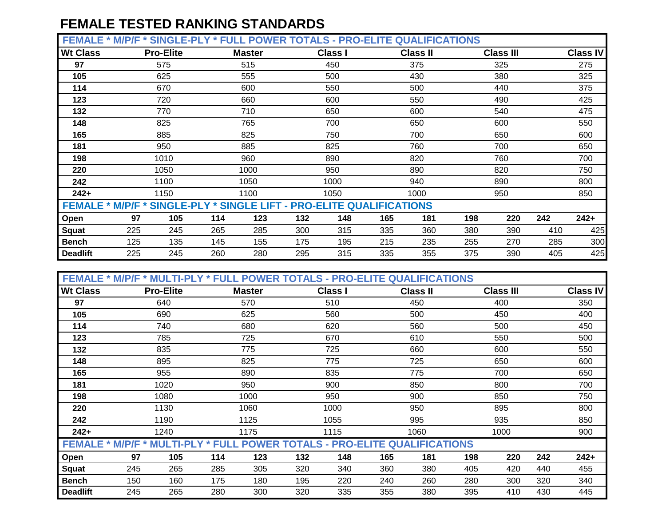**FEMALE \* M/P/F \* SINGLE-PLY \* FULL POWER TOTALS - PRO-ELITE QUALIFICATIONS**

|                 | .   |                                                                      |     |               |     | .              |     |                 |     |                  |     |                 |
|-----------------|-----|----------------------------------------------------------------------|-----|---------------|-----|----------------|-----|-----------------|-----|------------------|-----|-----------------|
| <b>Wt Class</b> |     | <b>Pro-Elite</b>                                                     |     | <b>Master</b> |     | <b>Class I</b> |     | <b>Class II</b> |     | <b>Class III</b> |     | <b>Class IV</b> |
| 97              |     | 575                                                                  |     | 515           |     | 450            |     | 375             |     | 325              |     | 275             |
| 105             |     | 625                                                                  |     | 555           |     | 500            |     | 430             |     | 380              |     | 325             |
| 114             |     | 670                                                                  |     | 600           |     | 550            |     | 500             |     | 440              |     | 375             |
| 123             |     | 720                                                                  |     | 660           |     | 600            |     | 550             |     | 490              |     | 425             |
| 132             |     | 770                                                                  |     | 710           |     | 650            |     | 600             |     | 540              | 475 |                 |
| 148             |     | 825                                                                  |     | 765           |     | 700            |     | 650             |     | 600              |     | 550             |
| 165             |     | 885                                                                  |     | 825           |     | 750            |     | 700             |     | 650              |     | 600             |
| 181             |     | 950                                                                  |     | 885           |     | 825            |     | 760             |     | 700              |     | 650             |
| 198             |     | 1010                                                                 |     | 960           |     | 890            |     | 820             |     | 760              |     | 700             |
| 220             |     | 1050                                                                 |     | 1000          |     | 950            |     | 890             |     | 820              |     | 750             |
| 242             |     | 1100                                                                 |     | 1050          |     | 1000           |     | 940             |     | 890              |     | 800             |
| $242+$          |     | 1150                                                                 |     | 1100          |     | 1050           |     | 1000            |     | 950              |     | 850             |
|                 |     | FEMALE * M/P/F * SINGLE-PLY * SINGLE LIFT - PRO-ELITE QUALIFICATIONS |     |               |     |                |     |                 |     |                  |     |                 |
| Open            | 97  | 105                                                                  | 114 | 123           | 132 | 148            | 165 | 181             | 198 | 220              | 242 | $242+$          |
| <b>Squat</b>    | 225 | 245                                                                  | 265 | 285           | 300 | 315            | 335 | 360             | 380 | 390              | 410 | 425             |
| <b>Bench</b>    | 125 | 135                                                                  | 145 | 155           | 175 | 195            | 215 | 235             | 255 | 270              | 285 | 300             |
| <b>Deadlift</b> | 225 | 245                                                                  | 260 | 280           | 295 | 315            | 335 | 355             | 375 | 390              | 405 | 425             |

| <b>FEMALE</b><br>*                                                               |     |                  |     |               |     |                |     | <b>M/P/F * MULTI-PLY * FULL POWER TOTALS - PRO-ELITE QUALIFICATIONS</b> |     |                  |     |                 |
|----------------------------------------------------------------------------------|-----|------------------|-----|---------------|-----|----------------|-----|-------------------------------------------------------------------------|-----|------------------|-----|-----------------|
| <b>Wt Class</b>                                                                  |     | <b>Pro-Elite</b> |     | <b>Master</b> |     | <b>Class I</b> |     | <b>Class II</b>                                                         |     | <b>Class III</b> |     | <b>Class IV</b> |
| 97                                                                               |     | 640              |     | 570           |     | 510            |     | 450                                                                     |     | 400              |     | 350             |
| 105                                                                              |     | 690              |     | 625           |     | 560            |     | 500                                                                     |     | 450              |     | 400             |
| 114                                                                              |     | 740              |     | 680           |     | 620            |     | 560                                                                     |     | 500              |     | 450             |
| 123                                                                              |     | 785              |     | 725           |     | 670            |     | 610                                                                     |     | 550              |     | 500             |
| 132                                                                              |     | 835              |     | 775           |     | 725            |     | 660                                                                     |     | 600              |     | 550             |
| 148                                                                              |     | 895              |     | 825           |     | 775            |     | 725                                                                     |     | 650              |     | 600             |
| 165                                                                              |     | 955              |     | 890           |     | 835            |     | 775                                                                     |     | 700              |     | 650             |
| 181                                                                              |     | 1020             |     | 950           |     | 900            |     | 850                                                                     |     | 800              |     | 700             |
| 198                                                                              |     | 1080             |     | 1000          |     | 950            |     | 900                                                                     |     | 850              |     | 750             |
| 220                                                                              |     | 1130             |     | 1060          |     | 1000           |     | 950                                                                     |     | 895              |     | 800             |
| 242                                                                              |     | 1190             |     | 1125          |     | 1055           |     | 995                                                                     |     | 935              |     | 850             |
| $242+$                                                                           |     | 1240             |     | 1175          |     | 1115           |     | 1060                                                                    |     | 1000             |     | 900             |
| <b>FEMALE * M/P/F * MULTI-PLY * FULL POWER TOTALS - PRO-ELITE QUALIFICATIONS</b> |     |                  |     |               |     |                |     |                                                                         |     |                  |     |                 |
| Open                                                                             | 97  | 105              | 114 | 123           | 132 | 148            | 165 | 181                                                                     | 198 | 220              | 242 | $242+$          |
| Squat                                                                            | 245 | 265              | 285 | 305           | 320 | 340            | 360 | 380                                                                     | 405 | 420              | 440 | 455             |
| <b>Bench</b>                                                                     | 150 | 160              | 175 | 180           | 195 | 220            | 240 | 260                                                                     | 280 | 300              | 320 | 340             |
| <b>Deadlift</b>                                                                  | 245 | 265              | 280 | 300           | 320 | 335            | 355 | 380                                                                     | 395 | 410              | 430 | 445             |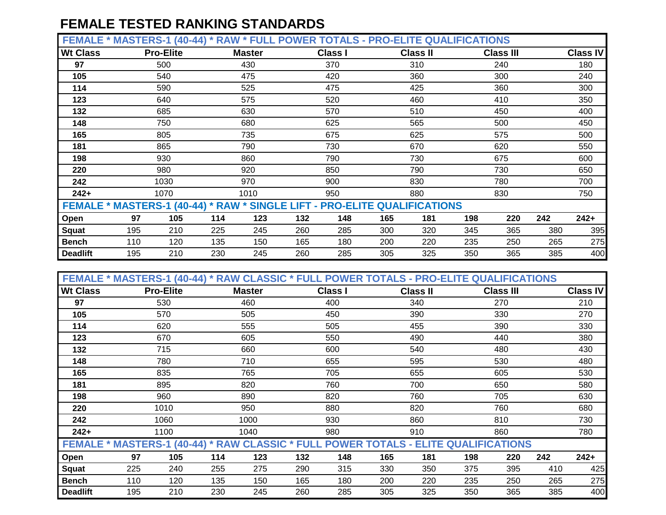**FEMALE \* MASTERS-1 (40-44) \* RAW \* FULL POWER TOTALS - PRO-ELITE QUALIFICATIONS**

| <b>Wt Class</b> |                                                                           | <b>Pro-Elite</b> |     | <b>Master</b> |     | <b>Class I</b> |     | <b>Class II</b> |     | <b>Class III</b> |     | <b>Class IV</b> |
|-----------------|---------------------------------------------------------------------------|------------------|-----|---------------|-----|----------------|-----|-----------------|-----|------------------|-----|-----------------|
| 97              |                                                                           | 500              |     | 430           |     | 370            |     | 310             |     | 240              |     | 180             |
| 105             |                                                                           | 540              |     | 475           |     | 420            |     | 360             |     | 300              |     | 240             |
| 114             |                                                                           | 590              |     | 525           |     | 475            |     | 425             |     | 360              |     | 300             |
| 123             |                                                                           | 640              |     | 575           |     | 520            |     | 460             |     | 410              |     | 350             |
| 132             |                                                                           | 685              |     | 630           |     | 570            |     | 510             |     | 450              |     | 400             |
| 148             |                                                                           | 750              |     | 680           |     | 625            |     | 565             |     | 500              |     | 450             |
| 165             |                                                                           | 805              |     | 735           |     | 675            |     | 625             |     | 575              |     | 500             |
| 181             |                                                                           | 865              |     | 790           |     | 730            |     | 670             |     | 620              |     | 550             |
| 198             |                                                                           | 930              |     | 860           |     | 790            |     | 730             |     | 675              |     | 600             |
| 220             |                                                                           | 980              |     | 920           |     | 850            |     | 790             |     | 730              |     | 650             |
| 242             |                                                                           | 1030             |     | 970           |     | 900            |     | 830             |     | 780              |     | 700             |
| $242+$          |                                                                           | 1070             |     | 1010          |     | 950            |     | 880             |     | 830              |     | 750             |
|                 | FEMALE * MASTERS-1 (40-44) * RAW * SINGLE LIFT - PRO-ELITE QUALIFICATIONS |                  |     |               |     |                |     |                 |     |                  |     |                 |
| Open            | 97                                                                        | 105              | 114 | 123           | 132 | 148            | 165 | 181             | 198 | 220              |     | $242+$          |
| <b>Squat</b>    | 195                                                                       | 210              | 225 | 245           | 260 | 285            | 300 | 320             | 345 | 365              | 380 | 395             |
| Bench           | 110                                                                       | 120              | 135 | 150           | 165 | 180            | 200 | 220             | 235 | 250              | 265 | 275             |
| <b>Deadlift</b> | 195                                                                       | 210              | 230 | 245           | 260 | 285            | 305 | 325             | 350 | 365              | 385 | 400             |

| FEMALE * MASTERS-1 (40-44) * RAW CLASSIC * FULL POWER TOTALS - PRO-ELITE QUALIFICATIONS |     |                  |     |               |     |                |     |                 |     |                  |     |                 |
|-----------------------------------------------------------------------------------------|-----|------------------|-----|---------------|-----|----------------|-----|-----------------|-----|------------------|-----|-----------------|
| <b>Wt Class</b>                                                                         |     | <b>Pro-Elite</b> |     | <b>Master</b> |     | <b>Class I</b> |     | <b>Class II</b> |     | <b>Class III</b> |     | <b>Class IV</b> |
| 97                                                                                      |     | 530              |     | 460           |     | 400            |     | 340             |     | 270              |     | 210             |
| 105                                                                                     |     | 570              |     | 505           |     | 450            |     | 390             |     | 330              |     | 270             |
| 114                                                                                     |     | 620              |     | 555           |     | 505            |     | 455             |     | 390              |     | 330             |
| 123                                                                                     |     | 670              |     | 605           |     | 550            |     | 490             |     | 440              |     | 380             |
| 132                                                                                     |     | 715              |     | 660           |     | 600            |     | 540             |     | 480              |     | 430             |
| 148                                                                                     |     | 780              |     | 710           |     | 655            |     | 595             |     | 530              |     | 480             |
| 165                                                                                     |     | 835              |     | 765           |     | 705            |     | 655             |     | 605              |     | 530             |
| 181                                                                                     | 895 |                  |     | 820           |     | 760            |     | 700             |     | 650              |     | 580             |
| 198                                                                                     |     | 960              |     | 890           |     | 820            |     | 760             |     | 705              |     | 630             |
| 220                                                                                     |     | 1010             |     | 950           |     | 880            |     | 820             |     | 760              |     | 680             |
| 242                                                                                     |     | 1060             |     | 1000          |     | 930            |     | 860             |     | 810              |     | 730             |
| $242+$                                                                                  |     | 1100             |     | 1040          |     | 980            |     | 910             |     | 860              |     | 780             |
| FEMALE * MASTERS-1 (40-44) * RAW CLASSIC * FULL POWER TOTALS - ELITE QUALIFICATIONS     |     |                  |     |               |     |                |     |                 |     |                  |     |                 |
| Open                                                                                    | 97  | 105              | 114 | 123           | 132 | 148            | 165 | 181             | 198 | 220              | 242 | $242+$          |
| Squat                                                                                   | 225 | 240              | 255 | 275           | 290 | 315            | 330 | 350             | 375 | 395              | 410 | 425             |
| <b>Bench</b>                                                                            | 110 | 120              | 135 | 150           | 165 | 180            | 200 | 220             | 235 | 250              | 265 | 275             |
| <b>Deadlift</b>                                                                         | 195 | 210              | 230 | 245           | 260 | 285            | 305 | 325             | 350 | 365              | 385 | 400             |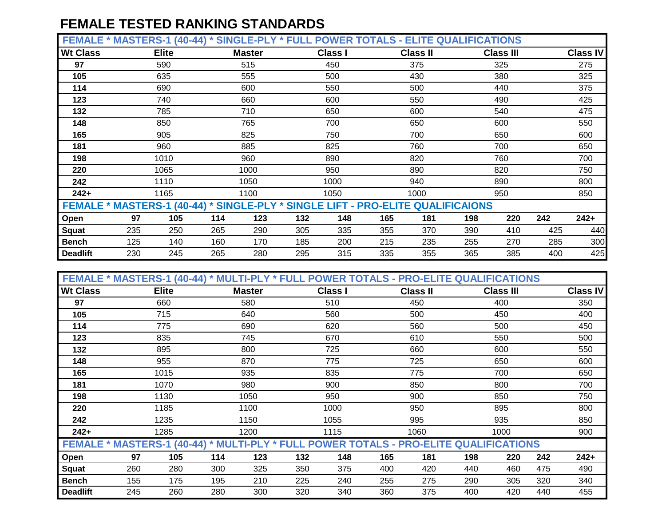| <b>FEMAL</b>    | FRS-1<br>$(40 - 44)$<br>MASI. | <b>SINGLE-PLY</b><br>$\star$ | <b>POWER</b><br>`FUL. | <b>TOTALS - ELITE QUALIFICATIONS</b> |                  |                 |
|-----------------|-------------------------------|------------------------------|-----------------------|--------------------------------------|------------------|-----------------|
| <b>Wt Class</b> | <b>Elite</b>                  | <b>Master</b>                | <b>Class</b>          | <b>Class II</b>                      | <b>Class III</b> | <b>Class IV</b> |
| 07              | EOM                           | <b>EAE</b>                   | 4E <sub>O</sub>       | ヘフロ                                  | 22E              | ヘフロ             |

| 97                                                                              |     | 590  |     | 515  |     | 450  |     | 375  |     | 325 |     | 275    |
|---------------------------------------------------------------------------------|-----|------|-----|------|-----|------|-----|------|-----|-----|-----|--------|
| 105                                                                             |     | 635  |     | 555  |     | 500  |     | 430  |     | 380 |     | 325    |
| 114                                                                             |     | 690  |     | 600  |     | 550  |     | 500  |     | 440 |     | 375    |
| 123                                                                             |     | 740  |     | 660  |     | 600  |     | 550  |     | 490 |     | 425    |
| 132                                                                             |     | 785  |     | 710  |     | 650  |     | 600  |     | 540 |     | 475    |
| 148                                                                             |     | 850  |     | 765  |     | 700  |     | 650  |     | 600 |     | 550    |
| 165                                                                             |     | 905  |     | 825  |     | 750  |     | 700  |     | 650 |     | 600    |
| 181                                                                             |     | 960  |     | 885  |     | 825  |     | 760  |     | 700 |     | 650    |
| 198                                                                             |     | 1010 |     | 960  |     | 890  |     | 820  |     | 760 |     | 700    |
| 220                                                                             |     | 1065 |     | 1000 |     | 950  |     | 890  |     | 820 |     | 750    |
| 242                                                                             |     | 1110 |     | 1050 |     | 1000 |     | 940  |     | 890 |     | 800    |
| $242+$                                                                          |     | 1165 |     | 1100 |     | 1050 |     | 1000 |     | 950 |     | 850    |
| FEMALE * MASTERS-1 (40-44) * SINGLE-PLY * SINGLE LIFT - PRO-ELITE QUALIFICAIONS |     |      |     |      |     |      |     |      |     |     |     |        |
| Open                                                                            | 97  | 105  | 114 | 123  | 132 | 148  | 165 | 181  | 198 | 220 | 242 | $242+$ |
| Squat                                                                           | 235 | 250  | 265 | 290  | 305 | 335  | 355 | 370  | 390 | 410 | 425 | 440    |
| <b>Bench</b>                                                                    | 125 | 140  | 160 | 170  | 185 | 200  | 215 | 235  | 255 | 270 | 285 | 300    |
| <b>Deadlift</b>                                                                 | 230 | 245  | 265 | 280  | 295 | 315  | 335 | 355  | 365 | 385 | 400 | 425    |

| FEMALE * MASTERS-1 (40-44) * MULTI-PLY * FULL POWER TOTALS - PRO-ELITE QUALIFICATIONS |     |              |        |               |     |                |     |                 |     |                                                                 |     |                 |
|---------------------------------------------------------------------------------------|-----|--------------|--------|---------------|-----|----------------|-----|-----------------|-----|-----------------------------------------------------------------|-----|-----------------|
| <b>Wt Class</b>                                                                       |     | <b>Elite</b> |        | <b>Master</b> |     | <b>Class I</b> |     | <b>Class II</b> |     | <b>Class III</b>                                                |     | <b>Class IV</b> |
| 97                                                                                    |     | 660          |        | 580           |     | 510            |     | 450             |     | 400                                                             |     | 350             |
| 105                                                                                   |     | 715          |        | 640           |     | 560            |     | 500             |     | 450                                                             |     | 400             |
| 114                                                                                   |     | 775          |        | 690           |     | 620            |     | 560             |     | 500                                                             |     | 450             |
| 123                                                                                   |     | 835          |        | 745           |     | 670            |     | 610             |     | 550                                                             |     | 500             |
| 132                                                                                   |     | 895          |        | 800           |     | 725            |     | 660             |     | 600                                                             |     | 550             |
| 148                                                                                   |     | 955          |        | 870           |     | 775            |     | 725             |     | 650                                                             |     | 600             |
| 165                                                                                   |     | 1015         |        | 935           |     | 835            |     | 775             |     | 700                                                             |     | 650             |
| 181                                                                                   |     | 1070         |        | 980           |     | 900            |     | 850             |     | 800                                                             |     | 700             |
| 198                                                                                   |     | 1130         |        | 1050          |     | 950            |     | 900             |     | 850                                                             |     | 750             |
| 220                                                                                   |     | 1185         |        | 1100          |     | 1000           |     | 950             |     | 895                                                             |     | 800             |
| 242                                                                                   |     | 1235         |        | 1150          |     | 1055           |     | 995             |     | 935                                                             |     | 850             |
| $242+$                                                                                |     | 1285         |        | 1200          |     | 1115           |     | 1060            |     | 1000                                                            |     | 900             |
| <b>FEMALE * MASTERS-1 (40-44)</b>                                                     |     |              | $\ast$ |               |     |                |     |                 |     | <b>MULTI-PLY * FULL POWER TOTALS - PRO-ELITE QUALIFICATIONS</b> |     |                 |
| Open                                                                                  | 97  | 105          | 114    | 123           | 132 | 148            | 165 | 181             | 198 | 220                                                             | 242 | $242+$          |
| <b>Squat</b>                                                                          | 260 | 280          | 300    | 325           | 350 | 375            | 400 | 420             | 440 | 460                                                             | 475 | 490             |
| <b>Bench</b>                                                                          | 155 | 175          | 195    | 210           | 225 | 240            | 255 | 275             | 290 | 305                                                             | 320 | 340             |
| <b>Deadlift</b>                                                                       | 245 | 260          | 280    | 300           | 320 | 340            | 360 | 375             | 400 | 420                                                             | 440 | 455             |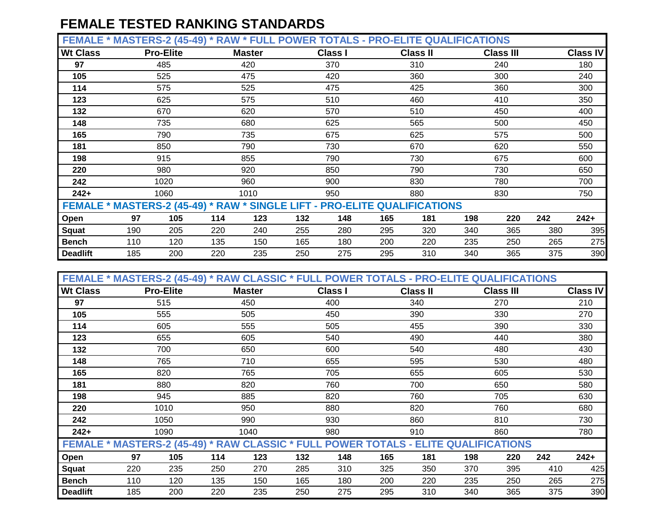**FEMALE \* MASTERS-2 (45-49) \* RAW \* FULL POWER TOTALS - PRO-ELITE QUALIFICATIONS**

|                 |                                                                           | - 1        |               |     |                |     |                 |     |                  |     |                 |
|-----------------|---------------------------------------------------------------------------|------------|---------------|-----|----------------|-----|-----------------|-----|------------------|-----|-----------------|
| <b>Wt Class</b> | <b>Pro-Elite</b>                                                          |            | <b>Master</b> |     | <b>Class I</b> |     | <b>Class II</b> |     | <b>Class III</b> |     | <b>Class IV</b> |
| 97              | 485                                                                       |            | 420           |     | 370            |     | 310             |     | 240              |     | 180             |
| 105             | 525                                                                       |            | 475           |     | 420            |     | 360             |     | 300              |     | 240             |
| 114             | 575                                                                       |            | 525           |     | 475            |     | 425             |     | 360              |     |                 |
| 123             | 625                                                                       |            | 575           |     | 510            |     | 460             |     | 410              |     | 350             |
| 132             | 670                                                                       |            | 620           |     | 570            |     | 510             |     | 450              |     | 400             |
| 148             | 735                                                                       |            | 680           |     | 625            |     | 565             |     | 500              |     | 450             |
| 165             | 790                                                                       |            | 735           |     | 675            |     | 625             |     | 575              |     | 500             |
| 181             | 850                                                                       |            | 790           |     | 730            |     | 670             |     | 620              |     | 550             |
| 198             | 915                                                                       |            | 855           |     | 790            |     | 730             |     | 675              |     | 600             |
| 220             | 980                                                                       |            | 920           |     | 850            |     | 790             |     | 730              |     | 650             |
| 242             | 1020                                                                      |            | 960           |     | 900            |     | 830             |     | 780              |     | 700             |
| $242+$          | 1060                                                                      |            | 1010          |     | 950            |     | 880             |     | 830              |     | 750             |
|                 | FEMALE * MASTERS-2 (45-49) * RAW * SINGLE LIFT - PRO-ELITE QUALIFICATIONS |            |               |     |                |     |                 |     |                  |     |                 |
| Open            | 97                                                                        | 105<br>114 | 123           | 132 | 148            | 165 | 181             | 198 | 220              | 242 | $242 +$         |
| Squat           | 190                                                                       | 220<br>205 | 240           | 255 | 280            | 295 | 320             | 340 | 365              | 380 | 395             |
| <b>Bench</b>    | 110                                                                       | 120<br>135 | 150           | 165 | 180            | 200 | 220             | 235 | 250              | 265 | 275             |
| <b>Deadlift</b> | 185                                                                       | 220<br>200 | 235           | 250 | 275            | 295 | 310             | 340 | 365              | 375 | 390             |

| FEMALE * MASTERS-2 (45-49) * RAW CLASSIC * FULL POWER TOTALS - PRO-ELITE QUALIFICATIONS |     |                  |     |               |     |                |     |                 |     |                  |     |                 |
|-----------------------------------------------------------------------------------------|-----|------------------|-----|---------------|-----|----------------|-----|-----------------|-----|------------------|-----|-----------------|
| <b>Wt Class</b>                                                                         |     | <b>Pro-Elite</b> |     | <b>Master</b> |     | <b>Class I</b> |     | <b>Class II</b> |     | <b>Class III</b> |     | <b>Class IV</b> |
| 97                                                                                      |     | 515              |     | 450           |     | 400            |     | 340             |     | 270              |     | 210             |
| 105                                                                                     |     | 555              |     | 505           |     | 450            |     | 390             |     | 330              |     | 270             |
| 114                                                                                     |     | 605              |     | 555           |     | 505            |     | 455             |     | 390              |     | 330             |
| 123                                                                                     |     | 655              |     | 605           |     | 540            |     | 490             |     | 440              |     | 380             |
| 132                                                                                     |     | 700              |     | 650           |     | 600            |     | 540             |     | 480              |     | 430             |
| 148                                                                                     |     | 765              |     | 710           |     | 655            |     | 595             |     | 530              |     | 480             |
| 165                                                                                     |     | 820              |     | 765           |     | 705            | 655 |                 | 605 |                  |     | 530             |
| 181                                                                                     |     | 880              |     | 820           |     | 760            |     | 700             |     | 650              |     | 580             |
| 198                                                                                     |     | 945              |     | 885           |     | 820            |     | 760             |     | 705              |     | 630             |
| 220                                                                                     |     | 1010             |     | 950           |     | 880            |     | 820             |     | 760              |     | 680             |
| 242                                                                                     |     | 1050             |     | 990           |     | 930            |     | 860             |     | 810              |     | 730             |
| $242+$                                                                                  |     | 1090             |     | 1040          |     | 980            |     | 910             |     | 860              |     | 780             |
| FEMALE * MASTERS-2 (45-49) * RAW CLASSIC * FULL POWER TOTALS - ELITE QUALIFICATIONS     |     |                  |     |               |     |                |     |                 |     |                  |     |                 |
| Open                                                                                    | 97  | 105              | 114 | 123           | 132 | 148            | 165 | 181             | 198 | 220              | 242 | $242+$          |
| <b>Squat</b>                                                                            | 220 | 235              | 250 | 270           | 285 | 310            | 325 | 350             | 370 | 395              | 410 | 425             |
| <b>Bench</b>                                                                            | 110 | 120              | 135 | 150           | 165 | 180            | 200 | 220             | 235 | 250              | 265 | 275             |
| <b>Deadlift</b>                                                                         | 185 | 200              | 220 | 235           | 250 | 275            | 295 | 310             | 340 | 365              | 375 | 390             |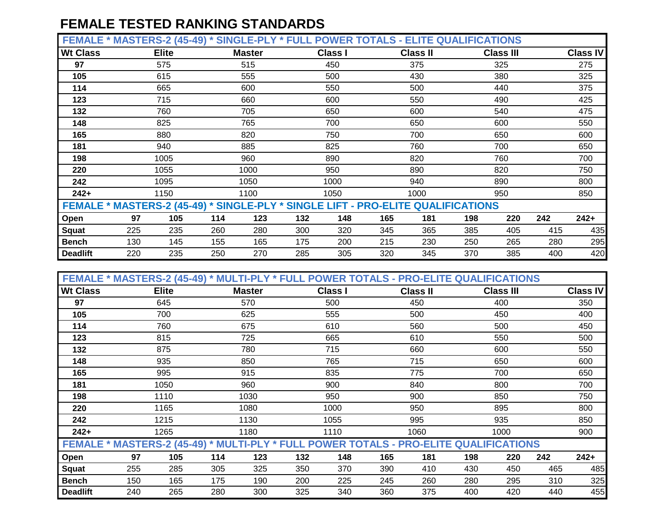|                 | FEMALE * MASTERS-2 (45-49) * SINGLE-PLY * FULL POWER TOTALS - ELITE QUALIFICATIONS |               |                |          |                  |                 |
|-----------------|------------------------------------------------------------------------------------|---------------|----------------|----------|------------------|-----------------|
| <b>Wt Class</b> | Elite                                                                              | <b>Master</b> | <b>Class I</b> | Class II | <b>Class III</b> | <b>Class IV</b> |

| <b>WL URSS</b>                                                                   |     | <b>Liife</b> |     | master |     | UidSS I |     | ાass ။ |     | UIASS III |     | UIASS IV |
|----------------------------------------------------------------------------------|-----|--------------|-----|--------|-----|---------|-----|--------|-----|-----------|-----|----------|
| 97                                                                               |     | 575          |     | 515    |     | 450     |     | 375    |     | 325       |     | 275      |
| 105                                                                              |     | 615          |     | 555    |     | 500     |     | 430    |     | 380       |     | 325      |
| 114                                                                              |     | 665          |     | 600    |     | 550     |     | 500    |     | 440       |     | 375      |
| 123                                                                              |     | 715          |     | 660    |     | 600     |     | 550    |     | 490       |     | 425      |
| 132                                                                              |     | 760          |     | 705    |     | 650     |     | 600    |     | 540       |     | 475      |
| 148                                                                              |     | 825          |     | 765    |     | 700     |     | 650    |     | 600       |     | 550      |
| 165                                                                              |     | 880          |     | 820    |     | 750     |     | 700    |     | 650       |     | 600      |
| 181                                                                              |     | 940          |     | 885    |     | 825     |     | 760    |     | 700       |     | 650      |
| 198                                                                              |     | 1005         |     | 960    |     | 890     |     | 820    |     | 760       |     | 700      |
| 220                                                                              |     | 1055         |     | 1000   |     | 950     |     | 890    |     | 820       |     | 750      |
| 242                                                                              |     | 1095         |     | 1050   |     | 1000    |     | 940    |     | 890       |     | 800      |
| $242+$                                                                           |     | 1150         |     | 1100   |     | 1050    |     | 1000   |     | 950       |     | 850      |
| FEMALE * MASTERS-2 (45-49) * SINGLE-PLY * SINGLE LIFT - PRO-ELITE QUALIFICATIONS |     |              |     |        |     |         |     |        |     |           |     |          |
| Open                                                                             | 97  | 105          | 114 | 123    | 132 | 148     | 165 | 181    | 198 | 220       | 242 | $242+$   |
| <b>Squat</b>                                                                     | 225 | 235          | 260 | 280    | 300 | 320     | 345 | 365    | 385 | 405       | 415 | 435      |
| <b>Bench</b>                                                                     | 130 | 145          | 155 | 165    | 175 | 200     | 215 | 230    | 250 | 265       | 280 | 295      |
| <b>Deadlift</b>                                                                  | 220 | 235          | 250 | 270    | 285 | 305     | 320 | 345    | 370 | 385       | 400 | 420      |

| FEMALE * MASTERS-2 (45-49) * MULTI-PLY * FULL POWER TOTALS - PRO-ELITE QUALIFICATIONS |     |                          |     |               |     |                |     |                 |     |                  |     |                 |
|---------------------------------------------------------------------------------------|-----|--------------------------|-----|---------------|-----|----------------|-----|-----------------|-----|------------------|-----|-----------------|
| <b>Wt Class</b>                                                                       |     | <b>Elite</b>             |     | <b>Master</b> |     | <b>Class I</b> |     | <b>Class II</b> |     | <b>Class III</b> |     | <b>Class IV</b> |
| 97                                                                                    |     | 645                      |     | 570           |     | 500            |     | 450             |     | 400              |     | 350             |
| 105                                                                                   |     | 700                      |     | 625           |     | 555            |     | 500             |     | 450              |     | 400             |
| 114                                                                                   |     | 760                      |     | 675           |     | 610            |     | 560             |     | 500              |     | 450             |
| 123                                                                                   |     | 815                      |     | 725           |     | 665            |     | 610             |     | 550              |     | 500             |
| 132                                                                                   |     | 875                      |     | 780           |     | 715            |     | 660             |     | 600              |     | 550             |
| 148                                                                                   |     | 935<br>850<br>995<br>915 |     |               |     | 765            |     | 715             |     | 650              |     | 600             |
| 165                                                                                   |     |                          |     |               |     | 835            |     | 775             |     | 700              |     | 650             |
| 181                                                                                   |     | 1050                     |     | 960           |     | 900            |     | 840             |     | 800              |     | 700             |
| 198                                                                                   |     | 1110                     |     | 1030          |     | 950            |     | 900             |     | 850              |     | 750             |
| 220                                                                                   |     | 1165                     |     | 1080          |     | 1000           |     | 950             |     | 895              |     | 800             |
| 242                                                                                   |     | 1215                     |     | 1130          |     | 1055           |     | 995             |     | 935              |     | 850             |
| $242+$                                                                                |     | 1265                     |     | 1180          |     | 1110           |     | 1060            |     | 1000             |     | 900             |
| FEMALE * MASTERS-2 (45-49) * MULTI-PLY * FULL POWER TOTALS - PRO-ELITE QUALIFICATIONS |     |                          |     |               |     |                |     |                 |     |                  |     |                 |
| Open                                                                                  | 97  | 105                      | 114 | 123           | 132 | 148            | 165 | 181             | 198 | 220              | 242 | $242+$          |
| <b>Squat</b>                                                                          | 255 | 285                      | 305 | 325           | 350 | 370            | 390 | 410             | 430 | 450              | 465 | 485             |
| <b>Bench</b>                                                                          | 150 | 165                      | 175 | 190           | 200 | 225            | 245 | 260             | 280 | 295              | 310 | 325             |
| <b>Deadlift</b>                                                                       | 240 | 265                      | 280 | 300           | 325 | 340            | 360 | 375             | 400 | 420              | 440 | 455             |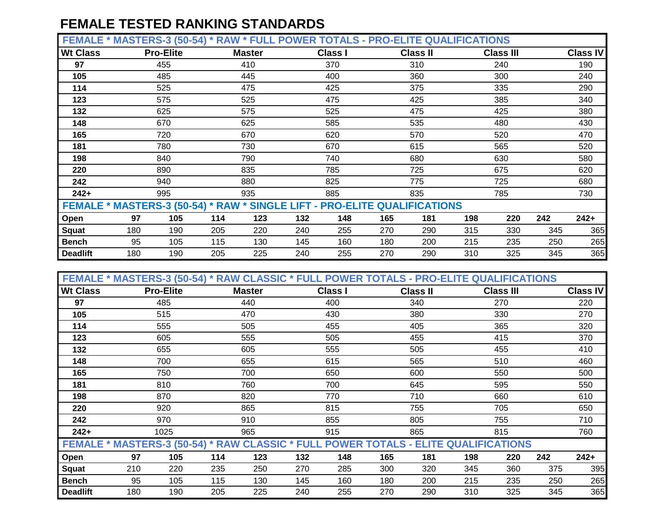**FEMALE \* MASTERS-3 (50-54) \* RAW \* FULL POWER TOTALS - PRO-ELITE QUALIFICATIONS**

| <b>Wt Class</b> |     | <b>Pro-Elite</b> |     | <b>Master</b> |     | <b>Class I</b> |     | <b>Class II</b>                                                           |     | <b>Class III</b> |     | <b>Class IV</b> |
|-----------------|-----|------------------|-----|---------------|-----|----------------|-----|---------------------------------------------------------------------------|-----|------------------|-----|-----------------|
| 97              |     | 455              |     | 410           |     | 370            |     | 310                                                                       |     | 240              |     | 190             |
| 105             |     | 485              |     | 445           |     | 400            |     | 360                                                                       |     | 300              |     | 240             |
| 114             |     | 525              |     | 475           |     | 425            |     | 375                                                                       |     | 335              |     | 290             |
| 123             |     | 575              |     | 525           |     | 475            |     | 425                                                                       |     | 385              |     | 340             |
| 132             |     | 625              |     | 575           |     | 525            |     | 475                                                                       |     | 425              |     | 380             |
| 148             |     | 670              |     | 625           |     | 585            |     | 535                                                                       |     | 480              |     | 430             |
| 165             |     | 720              |     | 670           |     | 620            |     | 570                                                                       |     | 520              |     | 470             |
| 181             |     | 780              |     | 730           |     | 670            |     | 615                                                                       |     | 565              |     | 520             |
| 198             |     | 840              |     | 790           |     | 740            |     | 680                                                                       |     | 630              |     | 580             |
| 220             |     | 890              |     | 835           |     | 785            |     | 725                                                                       |     | 675              |     | 620             |
| 242             |     | 940              |     | 880           |     | 825            |     | 775                                                                       |     | 725              |     | 680             |
| $242+$          |     | 995              |     | 935           |     | 885            |     | 835                                                                       |     | 785              |     | 730             |
|                 |     |                  |     |               |     |                |     | FEMALE * MASTERS-3 (50-54) * RAW * SINGLE LIFT - PRO-ELITE QUALIFICATIONS |     |                  |     |                 |
| Open            | 97  | 105              | 114 | 123           | 132 | 148            | 165 | 181                                                                       | 198 | 220              | 242 | $242+$          |
| Squat           | 180 | 190              | 205 | 220           | 240 | 255            | 270 | 290                                                                       | 315 | 330              | 345 | 365             |
| <b>Bench</b>    | 95  | 105              | 115 | 130           | 145 | 160            | 180 | 200                                                                       | 215 | 235              | 250 | 265             |
| <b>Deadlift</b> | 180 | 190              | 205 | 225           | 240 | 255            | 270 | 290                                                                       | 310 | 325              | 345 | 365             |

| FEMALE * MASTERS-3 (50-54) * RAW CLASSIC * FULL POWER TOTALS - PRO-ELITE QUALIFICATIONS |     |                  |     |               |     |                |     |                 |     |                  |     |                 |
|-----------------------------------------------------------------------------------------|-----|------------------|-----|---------------|-----|----------------|-----|-----------------|-----|------------------|-----|-----------------|
| <b>Wt Class</b>                                                                         |     | <b>Pro-Elite</b> |     | <b>Master</b> |     | <b>Class I</b> |     | <b>Class II</b> |     | <b>Class III</b> |     | <b>Class IV</b> |
| 97                                                                                      |     | 485              |     | 440           |     | 400            |     | 340             |     | 270              |     | 220             |
| 105                                                                                     |     | 515              |     | 470           |     | 430            |     | 380             |     | 330              |     | 270             |
| 114                                                                                     |     | 555              |     | 505           |     | 455            |     | 405             |     | 365              |     | 320             |
| 123                                                                                     |     | 605              |     | 555           |     | 505            |     | 455             |     | 415              |     | 370             |
| 132                                                                                     |     | 655              |     | 605           |     | 555            |     | 505             |     | 455              |     | 410             |
| 148                                                                                     |     | 700              | 655 |               |     | 615            |     | 565             |     | 510              |     | 460             |
| 165                                                                                     |     | 750<br>700       |     |               |     | 650            |     | 600             |     | 550              |     | 500             |
| 181                                                                                     |     | 810<br>760       |     |               |     | 700            |     | 645             |     | 595              |     | 550             |
| 198                                                                                     |     | 870              |     | 820           |     | 770            |     | 710             |     | 660              |     | 610             |
| 220                                                                                     |     | 920              |     | 865           |     | 815            |     | 755             |     | 705              |     | 650             |
| 242                                                                                     |     | 970              |     | 910           |     | 855            |     | 805             |     | 755              |     | 710             |
| $242+$                                                                                  |     | 1025             |     | 965           |     | 915            |     | 865             |     | 815              |     | 760             |
| FEMALE * MASTERS-3 (50-54) * RAW CLASSIC * FULL POWER TOTALS - ELITE QUALIFICATIONS     |     |                  |     |               |     |                |     |                 |     |                  |     |                 |
| Open                                                                                    | 97  | 105              | 114 | 123           | 132 | 148            | 165 | 181             | 198 | 220              | 242 | $242+$          |
| <b>Squat</b>                                                                            | 210 | 220              | 235 | 250           | 270 | 285            | 300 | 320             | 345 | 360              | 375 | 395             |
| <b>Bench</b>                                                                            | 95  | 105              | 115 | 130           | 145 | 160            | 180 | 200             | 215 | 235              | 250 | 265             |
| <b>Deadlift</b>                                                                         | 180 | 190              | 205 | 225           | 240 | 255            | 270 | 290             | 310 | 325              | 345 | 365             |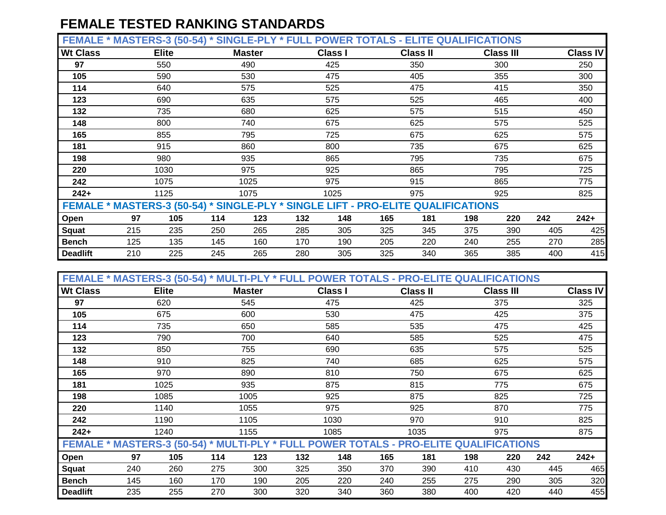**FEMALE \* MASTERS-3 (50-54) \* SINGLE-PLY \* FULL POWER TOTALS - ELITE QUALIFICATIONS**

| <b>Wt Class</b>                                                                  |     | <b>Elite</b> |     | <b>Master</b> |     | <b>Class I</b> |     | <b>Class II</b> |     | <b>Class III</b> |     | <b>Class IV</b> |
|----------------------------------------------------------------------------------|-----|--------------|-----|---------------|-----|----------------|-----|-----------------|-----|------------------|-----|-----------------|
| 97                                                                               |     | 550          |     | 490           |     | 425            |     | 350             |     | 300              |     | 250             |
| 105                                                                              |     | 590          |     | 530           |     | 475            |     | 405             |     | 355              |     | 300             |
| 114                                                                              |     | 640          |     | 575           |     | 525            |     | 475             |     | 415              |     | 350             |
| 123                                                                              |     | 690          |     | 635           |     | 575            |     | 525             |     | 465              |     | 400             |
| 132                                                                              |     | 735          |     | 680           |     | 625            |     | 575             |     | 515              |     | 450             |
| 148                                                                              |     | 800          |     | 740           |     | 675            |     | 625             |     | 575              |     | 525             |
| 165                                                                              |     | 855          |     | 795           |     | 725            |     | 675             |     | 625              |     | 575             |
| 181                                                                              |     | 915          |     | 860           |     | 800            |     | 735             |     | 675              |     | 625             |
| 198                                                                              |     | 980          |     | 935           |     | 865            |     | 795             |     | 735              |     | 675             |
| 220                                                                              |     | 1030         |     | 975           |     | 925            |     | 865             |     | 795              |     | 725             |
| 242                                                                              |     | 1075         |     | 1025          |     | 975            |     | 915             |     | 865              |     | 775             |
| $242+$                                                                           |     | 1125         |     | 1075          |     | 1025           |     | 975             |     | 925              |     | 825             |
| FEMALE * MASTERS-3 (50-54) * SINGLE-PLY * SINGLE LIFT - PRO-ELITE QUALIFICATIONS |     |              |     |               |     |                |     |                 |     |                  |     |                 |
| Open                                                                             | 97  | 105          | 114 | 123           | 132 | 148            | 165 | 181             | 198 | 220              | 242 | $242+$          |
| Squat                                                                            | 215 | 235          | 250 | 265           | 285 | 305            | 325 | 345             | 375 | 390              | 405 | 425             |
| <b>Bench</b>                                                                     | 125 | 135          | 145 | 160           | 170 | 190            | 205 | 220             | 240 | 255              | 270 | 285             |
| <b>Deadlift</b>                                                                  | 210 | 225          | 245 | 265           | 280 | 305            | 325 | 340             | 365 | 385              | 400 | 415             |

| FEMALE * MASTERS-3 (50-54) * MULTI-PLY * FULL POWER TOTALS - PRO-ELITE QUALIFICATIONS |     |              |     |               |     |                |     |                 |     |                  |     |                 |
|---------------------------------------------------------------------------------------|-----|--------------|-----|---------------|-----|----------------|-----|-----------------|-----|------------------|-----|-----------------|
| <b>Wt Class</b>                                                                       |     | <b>Elite</b> |     | <b>Master</b> |     | <b>Class I</b> |     | <b>Class II</b> |     | <b>Class III</b> |     | <b>Class IV</b> |
| 97                                                                                    |     | 620          |     | 545           |     | 475            |     | 425             |     | 375              |     | 325             |
| 105                                                                                   |     | 675          |     | 600           |     | 530            |     | 475             |     | 425              |     | 375             |
| 114                                                                                   |     | 735          |     | 650           |     | 585            |     | 535             |     | 475              |     | 425             |
| 123                                                                                   |     | 790          |     | 700           |     | 640            |     | 585             |     | 525              |     | 475             |
| 132                                                                                   |     | 850          |     | 755           |     | 690            |     | 635             |     | 575              |     | 525             |
| 148                                                                                   |     | 910          |     | 825           |     | 740            |     | 685             |     | 625              |     | 575             |
| 165                                                                                   |     | 970          |     | 890           |     | 810            |     | 750             |     | 675              |     | 625             |
| 181                                                                                   |     | 1025         |     | 935           |     | 875            |     | 815             |     | 775              |     | 675             |
| 198                                                                                   |     | 1085         |     | 1005          |     | 925            |     | 875             |     | 825              |     | 725             |
| 220                                                                                   |     | 1140         |     | 1055          |     | 975            |     | 925             |     | 870              |     | 775             |
| 242                                                                                   |     | 1190         |     | 1105          |     | 1030           |     | 970             |     | 910              |     | 825             |
| $242+$                                                                                |     | 1240         |     | 1155          |     | 1085           |     | 1035            |     | 975              |     | 875             |
| FEMALE * MASTERS-3 (50-54) * MULTI-PLY * FULL POWER TOTALS - PRO-ELITE QUALIFICATIONS |     |              |     |               |     |                |     |                 |     |                  |     |                 |
| Open                                                                                  | 97  | 105          | 114 | 123           | 132 | 148            | 165 | 181             | 198 | 220              | 242 | $242+$          |
| <b>Squat</b>                                                                          | 240 | 260          | 275 | 300           | 325 | 350            | 370 | 390             | 410 | 430              | 445 | 465             |
| <b>Bench</b>                                                                          | 145 | 160          | 170 | 190           | 205 | 220            | 240 | 255             | 275 | 290              | 305 | 320             |
| <b>Deadlift</b>                                                                       | 235 | 255          | 270 | 300           | 320 | 340            | 360 | 380             | 400 | 420              | 440 | 455             |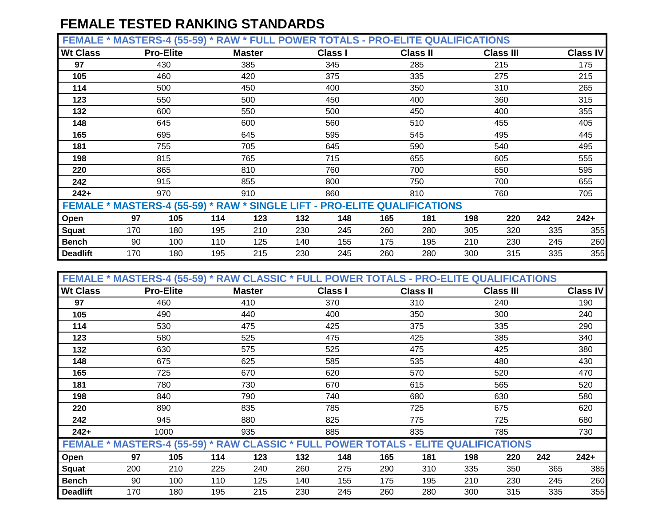**FEMALE \* MASTERS-4 (55-59) \* RAW \* FULL POWER TOTALS - PRO-ELITE QUALIFICATIONS**

| <b>Wt Class</b> | <b>Pro-Elite</b>                                                          |     | <b>Master</b> |     | <b>Class I</b> |     | <b>Class II</b> |     | <b>Class III</b> |     | <b>Class IV</b> |
|-----------------|---------------------------------------------------------------------------|-----|---------------|-----|----------------|-----|-----------------|-----|------------------|-----|-----------------|
| 97              | 430                                                                       |     | 385           |     | 345            |     | 285             |     | 215              |     | 175             |
| 105             | 460                                                                       |     | 420           |     | 375            |     | 335             |     | 275              |     | 215             |
| 114             | 500                                                                       |     | 450           |     | 400            |     | 350             |     | 310              |     | 265             |
| 123             | 550                                                                       |     | 500           |     | 450            |     | 400             |     | 360              |     | 315             |
| 132             | 600                                                                       |     | 550           |     | 500            |     | 450             |     | 400              |     | 355             |
| 148             | 645                                                                       |     | 600           |     | 560            |     | 510             |     | 455              |     | 405             |
| 165             | 695                                                                       |     | 645           |     | 595            |     | 545             |     | 495              |     | 445             |
| 181             | 755                                                                       |     | 705           |     | 645            |     | 590             |     | 540              |     | 495             |
| 198             | 815                                                                       |     | 765           |     | 715            |     | 655             |     | 605              |     | 555             |
| 220             | 865                                                                       |     | 810           |     | 760            |     | 700             |     | 650              |     | 595             |
| 242             | 915                                                                       |     | 855           |     | 800            |     | 750             |     | 700              |     | 655             |
| $242+$          | 970                                                                       |     | 910           |     | 860            |     | 810             |     | 760              |     | 705             |
|                 | FEMALE * MASTERS-4 (55-59) * RAW * SINGLE LIFT - PRO-ELITE QUALIFICATIONS |     |               |     |                |     |                 |     |                  |     |                 |
| Open            | 97<br>105                                                                 | 114 | 123           | 132 | 148            | 165 | 181             | 198 | 220              | 242 | $242+$          |
| Squat           | 180<br>170                                                                | 195 | 210           | 230 | 245            | 260 | 280             | 305 | 320              | 335 | 355             |
| <b>Bench</b>    | 90<br>100                                                                 | 110 | 125           | 140 | 155            | 175 | 195             | 210 | 230              | 245 | 260             |
| <b>Deadlift</b> | 170<br>180                                                                | 195 | 215           | 230 | 245            | 260 | 280             | 300 | 315              | 335 | 355             |

| FEMALE * MASTERS-4 (55-59) * RAW CLASSIC * FULL POWER TOTALS - PRO-ELITE QUALIFICATIONS |     |                                                      |     |               |     |                |     |                 |     |                  |     |                 |
|-----------------------------------------------------------------------------------------|-----|------------------------------------------------------|-----|---------------|-----|----------------|-----|-----------------|-----|------------------|-----|-----------------|
| <b>Wt Class</b>                                                                         |     | <b>Pro-Elite</b>                                     |     | <b>Master</b> |     | <b>Class I</b> |     | <b>Class II</b> |     | <b>Class III</b> |     | <b>Class IV</b> |
| 97                                                                                      |     | 460                                                  |     | 410           |     | 370            |     | 310             |     | 240              |     | 190             |
| 105                                                                                     |     | 490                                                  |     | 440           |     | 400            |     | 350             |     | 300              |     | 240             |
| 114                                                                                     |     | 530                                                  |     | 475           |     | 425            |     | 375             |     | 335              |     | 290             |
| 123                                                                                     |     | 580                                                  |     | 525           |     | 475            |     | 425             |     | 385              |     | 340             |
| 132                                                                                     |     | 630                                                  |     | 575           |     | 525            |     | 475             |     | 425              |     | 380             |
| 148                                                                                     |     |                                                      |     | 625           |     | 585            |     | 535             |     | 480              |     | 430             |
| 165                                                                                     |     |                                                      |     | 670           |     | 620            |     | 570             |     | 520              |     | 470             |
| 181                                                                                     |     | 675<br>725<br>780<br>730<br>840<br>790<br>890<br>835 |     |               |     | 670            |     | 615             |     | 565              |     | 520             |
| 198                                                                                     |     |                                                      |     |               |     | 740            |     | 680             |     | 630              |     | 580             |
| 220                                                                                     |     |                                                      |     |               |     | 785            |     | 725             |     | 675              |     | 620             |
| 242                                                                                     |     | 945                                                  |     | 880           |     | 825            |     | 775             |     | 725              |     | 680             |
| $242+$                                                                                  |     | 1000                                                 |     | 935           |     | 885            |     | 835             |     | 785              |     | 730             |
| FEMALE * MASTERS-4 (55-59) * RAW CLASSIC * FULL POWER TOTALS - ELITE QUALIFICATIONS     |     |                                                      |     |               |     |                |     |                 |     |                  |     |                 |
| Open                                                                                    | 97  | 105                                                  | 114 | 123           | 132 | 148            | 165 | 181             | 198 | 220              | 242 | $242+$          |
| <b>Squat</b>                                                                            | 200 | 210                                                  | 225 | 240           | 260 | 275            | 290 | 310             | 335 | 350              | 365 | 385             |
| <b>Bench</b>                                                                            | 90  | 100                                                  | 110 | 125           | 140 | 155            | 175 | 195             | 210 | 230              | 245 | 260             |
| <b>Deadlift</b>                                                                         | 170 | 180                                                  | 195 | 215           | 230 | 245            | 260 | 280             | 300 | 315              | 335 | 355             |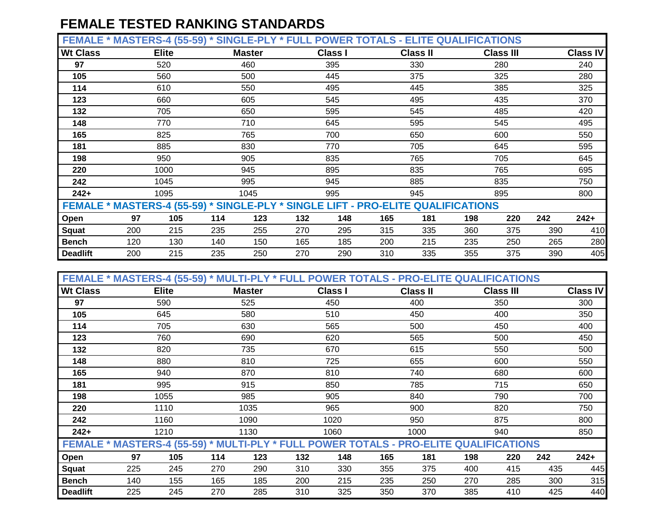**FEMALE \* MASTERS-4 (55-59) \* SINGLE-PLY \* FULL POWER TOTALS - ELITE QUALIFICATIONS**

| <b>Wt Class</b>                                                                  |     | <b>Elite</b> |     | <b>Master</b> |     | <b>Class I</b> |     | <b>Class II</b> |     | <b>Class III</b> |     | <b>Class IV</b> |
|----------------------------------------------------------------------------------|-----|--------------|-----|---------------|-----|----------------|-----|-----------------|-----|------------------|-----|-----------------|
| 97                                                                               |     | 520          |     | 460           |     | 395            |     | 330             |     | 280              |     | 240             |
| 105                                                                              |     | 560          |     | 500           |     | 445            |     | 375             |     | 325              |     | 280             |
| 114                                                                              |     | 610          |     | 550           |     | 495            |     | 445             |     | 385              |     | 325             |
| 123                                                                              |     | 660          |     | 605           |     | 545            |     | 495             |     | 435              |     | 370             |
| 132                                                                              |     | 705          |     | 650           |     | 595            |     | 545             |     | 485              |     | 420             |
| 148                                                                              |     | 770          |     | 710           |     | 645            |     | 595             |     | 545              |     | 495             |
| 165                                                                              |     | 825          |     | 765           |     | 700            |     | 650             |     | 600              |     | 550             |
| 181                                                                              |     | 885          |     | 830           |     | 770            |     | 705             |     | 645              |     | 595             |
| 198                                                                              |     | 950          |     | 905           |     | 835            |     | 765             |     | 705              |     | 645             |
| 220                                                                              |     | 1000         |     | 945           |     | 895            |     | 835             |     | 765              |     | 695             |
| 242                                                                              |     | 1045         |     | 995           |     | 945            |     | 885             |     | 835              |     | 750             |
| $242+$                                                                           |     | 1095         |     | 1045          |     | 995            |     | 945             |     | 895              |     | 800             |
| FEMALE * MASTERS-4 (55-59) * SINGLE-PLY * SINGLE LIFT - PRO-ELITE QUALIFICATIONS |     |              |     |               |     |                |     |                 |     |                  |     |                 |
| Open                                                                             | 97  | 105          | 114 | 123           | 132 | 148            | 165 | 181             | 198 | 220              | 242 | $242+$          |
| <b>Squat</b>                                                                     | 200 | 215          | 235 | 255           | 270 | 295            | 315 | 335             | 360 | 375              | 390 | 410             |
| <b>Bench</b>                                                                     | 120 | 130          | 140 | 150           | 165 | 185            | 200 | 215             | 235 | 250              | 265 | 280             |
| <b>Deadlift</b>                                                                  | 200 | 215          | 235 | 250           | 270 | 290            | 310 | 335             | 355 | 375              | 390 | 405             |

| FEMALE * MASTERS-4 (55-59) * MULTI-PLY * FULL POWER TOTALS - PRO-ELITE QUALIFICATIONS |     |              |     |               |     |                |     |                 |     |                  |     |                 |
|---------------------------------------------------------------------------------------|-----|--------------|-----|---------------|-----|----------------|-----|-----------------|-----|------------------|-----|-----------------|
| <b>Wt Class</b>                                                                       |     | <b>Elite</b> |     | <b>Master</b> |     | <b>Class I</b> |     | <b>Class II</b> |     | <b>Class III</b> |     | <b>Class IV</b> |
| 97                                                                                    |     | 590          |     | 525           |     | 450            |     | 400             |     | 350              |     | 300             |
| 105                                                                                   |     | 645          |     | 580           |     | 510            |     | 450             |     | 400              |     | 350             |
| 114                                                                                   |     | 705          |     | 630           |     | 565            |     | 500             |     | 450              |     | 400             |
| 123                                                                                   |     | 760          |     | 690           |     | 620            |     | 565             |     | 500              |     | 450             |
| 132                                                                                   |     | 820          |     | 735           |     | 670            |     | 615             |     | 550              |     | 500             |
| 148                                                                                   |     | 880          |     | 810           |     | 725            |     | 655             |     | 600              |     | 550             |
| 165                                                                                   |     | 940          |     | 870           |     | 810            |     | 740             |     | 680              |     | 600             |
| 181                                                                                   |     | 995          |     | 915           |     | 850            |     | 785             |     | 715              |     | 650             |
| 198                                                                                   |     | 1055         |     | 985           |     | 905            |     | 840             |     | 790              |     | 700             |
| 220                                                                                   |     | 1110         |     | 1035          |     | 965            |     | 900             |     | 820              |     | 750             |
| 242                                                                                   |     | 1160         |     | 1090          |     | 1020           |     | 950             |     | 875              |     | 800             |
| $242+$                                                                                |     | 1210         |     | 1130          |     | 1060           |     | 1000            |     | 940              |     | 850             |
| FEMALE * MASTERS-4 (55-59) * MULTI-PLY * FULL POWER TOTALS - PRO-ELITE QUALIFICATIONS |     |              |     |               |     |                |     |                 |     |                  |     |                 |
| Open                                                                                  | 97  | 105          | 114 | 123           | 132 | 148            | 165 | 181             | 198 | 220              | 242 | $242+$          |
| <b>Squat</b>                                                                          | 225 | 245          | 270 | 290           | 310 | 330            | 355 | 375             | 400 | 415              | 435 | 445             |
| <b>Bench</b>                                                                          | 140 | 155          | 165 | 185           | 200 | 215            | 235 | 250             | 270 | 285              | 300 | 315             |
| <b>Deadlift</b>                                                                       | 225 | 245          | 270 | 285           | 310 | 325            | 350 | 370             | 385 | 410              | 425 | 440             |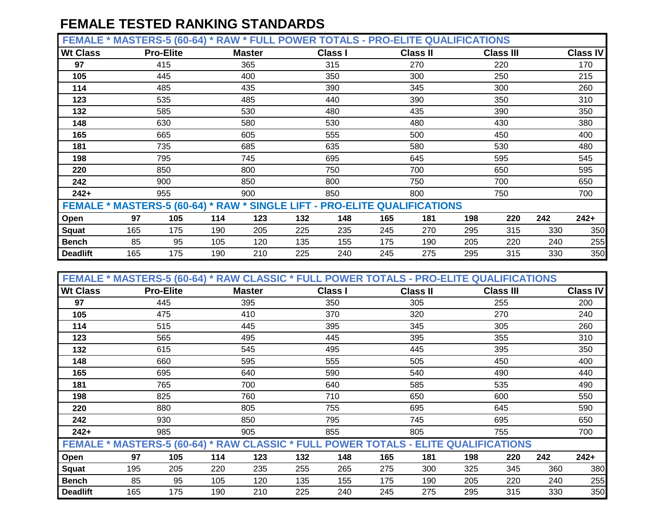**FEMALE \* MASTERS-5 (60-64) \* RAW \* FULL POWER TOTALS - PRO-ELITE QUALIFICATIONS**

| <b>Wt Class</b> |                                                                           | <b>Pro-Elite</b> |     | <b>Master</b> |     | <b>Class I</b> |     | <b>Class II</b> |     | <b>Class III</b> |     | <b>Class IV</b> |
|-----------------|---------------------------------------------------------------------------|------------------|-----|---------------|-----|----------------|-----|-----------------|-----|------------------|-----|-----------------|
| 97              |                                                                           | 415              |     | 365           |     | 315            |     | 270             |     | 220              |     | 170             |
| 105             |                                                                           | 445              |     | 400           |     | 350            |     | 300             |     | 250              |     | 215             |
| 114             |                                                                           | 485              |     | 435           |     | 390            |     | 345             |     | 300              |     | 260             |
| 123             |                                                                           | 535              |     | 485           |     | 440            |     | 390             |     | 350              |     | 310             |
| 132             |                                                                           | 585              |     | 530           |     | 480            |     | 435             |     | 390              |     | 350             |
| 148             |                                                                           | 630              |     | 580           |     | 530            |     | 480             |     | 430              |     | 380             |
| 165             |                                                                           | 665              |     | 605           |     | 555            |     | 500             |     | 450              |     | 400             |
| 181             |                                                                           | 735              |     | 685           |     | 635            |     | 580             |     | 530              |     | 480             |
| 198             |                                                                           | 795              |     | 745           |     | 695            |     | 645             |     | 595              |     | 545             |
| 220             |                                                                           | 850              |     | 800           |     | 750            |     | 700             |     | 650              |     | 595             |
| 242             |                                                                           | 900              |     | 850           |     | 800            |     | 750             |     | 700              |     | 650             |
| $242+$          |                                                                           | 955              |     | 900           |     | 850            |     | 800             |     | 750              |     | 700             |
|                 | FEMALE * MASTERS-5 (60-64) * RAW * SINGLE LIFT - PRO-ELITE QUALIFICATIONS |                  |     |               |     |                |     |                 |     |                  |     |                 |
| Open            | 97                                                                        | 105              | 114 | 123           | 132 | 148            | 165 | 181             | 198 | 220              | 242 | $242+$          |
| Squat           | 165                                                                       | 175              | 190 | 205           | 225 | 235            | 245 | 270             | 295 | 315              | 330 | 350             |
| <b>Bench</b>    | 85                                                                        | 95               | 105 | 120           | 135 | 155            | 175 | 190             | 205 | 220              | 240 | 255             |
| <b>Deadlift</b> | 165                                                                       | 175              | 190 | 210           | 225 | 240            | 245 | 275             | 295 | 315              | 330 | 350             |

| FEMALE * MASTERS-5 (60-64) * RAW CLASSIC * FULL POWER TOTALS - PRO-ELITE QUALIFICATIONS |     |                   |     |               |     |                |     |                 |     |                  |     |                 |
|-----------------------------------------------------------------------------------------|-----|-------------------|-----|---------------|-----|----------------|-----|-----------------|-----|------------------|-----|-----------------|
| <b>Wt Class</b>                                                                         |     | <b>Pro-Elite</b>  |     | <b>Master</b> |     | <b>Class I</b> |     | <b>Class II</b> |     | <b>Class III</b> |     | <b>Class IV</b> |
| 97                                                                                      |     | 445               |     | 395           |     | 350            |     | 305             |     | 255              |     | 200             |
| 105                                                                                     |     | 475               |     | 410           |     | 370            |     | 320             |     | 270              |     | 240             |
| 114                                                                                     |     | 515               |     | 445           |     | 395            |     | 345             |     | 305              |     | 260             |
| 123                                                                                     |     | 565               |     | 495           |     | 445            |     | 395             |     | 355              |     | 310             |
| 132                                                                                     |     | 615               |     | 545           |     | 495            |     | 445             |     | 395              |     | 350             |
| 148                                                                                     |     | 660               |     | 595           |     | 555            |     | 505             |     | 450              |     | 400             |
| 165                                                                                     |     | 695               |     |               |     | 590            |     | 540             |     | 490              |     | 440             |
| 181                                                                                     |     | 640<br>765<br>700 |     |               |     | 640            |     | 585             |     | 535              |     | 490             |
| 198                                                                                     |     | 825               |     | 760           |     | 710            |     | 650             |     | 600              |     | 550             |
| 220                                                                                     |     | 880               |     | 805           |     | 755            |     | 695             |     | 645              |     | 590             |
| 242                                                                                     |     | 930               |     | 850           |     | 795            |     | 745             |     | 695              |     | 650             |
| $242+$                                                                                  |     | 985               |     | 905           |     | 855            |     | 805             |     | 755              |     | 700             |
| FEMALE * MASTERS-5 (60-64) * RAW CLASSIC * FULL POWER TOTALS - ELITE QUALIFICATIONS     |     |                   |     |               |     |                |     |                 |     |                  |     |                 |
| Open                                                                                    | 97  | 105               | 114 | 123           | 132 | 148            | 165 | 181             | 198 | 220              | 242 | $242+$          |
| <b>Squat</b>                                                                            | 195 | 205               | 220 | 235           | 255 | 265            | 275 | 300             | 325 | 345              | 360 | 380             |
| <b>Bench</b>                                                                            | 85  | 95                | 105 | 120           | 135 | 155            | 175 | 190             | 205 | 220              | 240 | 255             |
| <b>Deadlift</b>                                                                         | 165 | 175               | 190 | 210           | 225 | 240            | 245 | 275             | 295 | 315              | 330 | 350             |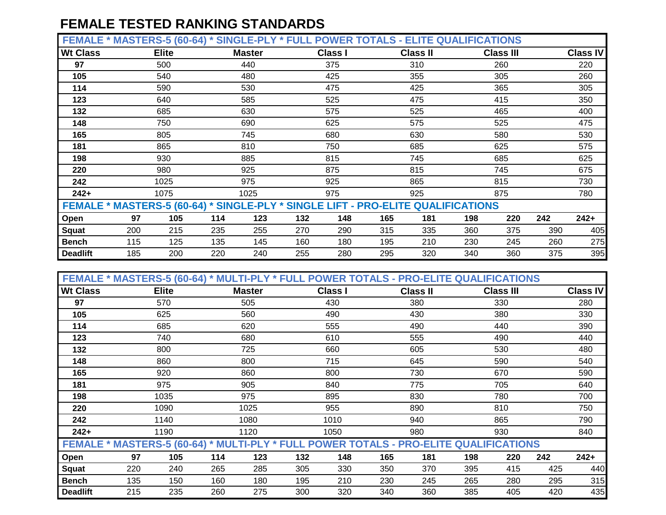**FEMALE \* MASTERS-5 (60-64) \* SINGLE-PLY \* FULL POWER TOTALS - ELITE QUALIFICATIONS**

| <b>Wt Class</b>                                                                  |     | <b>Elite</b> |     | <b>Master</b> |     | <b>Class I</b> |     | <b>Class II</b> |     | <b>Class III</b> |     | <b>Class IV</b> |
|----------------------------------------------------------------------------------|-----|--------------|-----|---------------|-----|----------------|-----|-----------------|-----|------------------|-----|-----------------|
| 97                                                                               |     | 500          |     | 440           |     | 375            |     | 310             |     | 260              |     | 220             |
| 105                                                                              |     | 540          |     | 480           |     | 425            |     | 355             |     | 305              |     | 260             |
| 114                                                                              |     | 590          |     | 530           |     | 475            |     | 425             |     | 365              |     | 305             |
| 123                                                                              |     | 640          |     | 585           |     | 525            |     | 475             |     | 415              |     | 350             |
| 132                                                                              |     | 685          |     | 630           |     | 575            |     | 525             |     | 465              |     | 400             |
| 148                                                                              |     | 750          |     | 690           |     | 625            |     | 575             |     | 525              |     | 475             |
| 165                                                                              |     | 805          |     | 745           |     | 680            |     | 630             |     | 580              |     | 530             |
| 181                                                                              |     | 865          |     | 810           |     | 750            |     | 685             |     | 625              |     | 575             |
| 198                                                                              |     | 930          |     | 885           |     | 815            |     | 745             |     | 685              |     | 625             |
| 220                                                                              |     | 980          |     | 925           |     | 875            |     | 815             |     | 745              |     | 675             |
| 242                                                                              |     | 1025         |     | 975           |     | 925            |     | 865             |     | 815              |     | 730             |
| $242+$                                                                           |     | 1075         |     | 1025          |     | 975            |     | 925             |     | 875              |     | 780             |
| FEMALE * MASTERS-5 (60-64) * SINGLE-PLY * SINGLE LIFT - PRO-ELITE QUALIFICATIONS |     |              |     |               |     |                |     |                 |     |                  |     |                 |
| Open                                                                             | 97  | 105          | 114 | 123           | 132 | 148            | 165 | 181             | 198 | 220              | 242 | $242+$          |
| Squat                                                                            | 200 | 215          | 235 | 255           | 270 | 290            | 315 | 335             | 360 | 375              | 390 | 405             |
| <b>Bench</b>                                                                     | 115 | 125          | 135 | 145           | 160 | 180            | 195 | 210             | 230 | 245              | 260 | 275             |
| <b>Deadlift</b>                                                                  | 185 | 200          | 220 | 240           | 255 | 280            | 295 | 320             | 340 | 360              | 375 | 395             |

| FEMALE * MASTERS-5 (60-64) * MULTI-PLY * FULL POWER TOTALS - PRO-ELITE QUALIFICATIONS |     |                   |     |               |     |                |     |                 |     |                  |     |                 |
|---------------------------------------------------------------------------------------|-----|-------------------|-----|---------------|-----|----------------|-----|-----------------|-----|------------------|-----|-----------------|
| <b>Wt Class</b>                                                                       |     | <b>Elite</b>      |     | <b>Master</b> |     | <b>Class I</b> |     | <b>Class II</b> |     | <b>Class III</b> |     | <b>Class IV</b> |
| 97                                                                                    |     | 570               |     | 505           |     | 430            |     | 380             |     | 330              |     | 280             |
| 105                                                                                   |     | 625               |     | 560           |     | 490            |     | 430             |     | 380              |     | 330             |
| 114                                                                                   |     | 685               |     | 620           |     | 555            |     | 490             |     | 440              |     | 390             |
| 123                                                                                   |     | 740               |     | 680           |     | 610            |     | 555             |     | 490              |     | 440             |
| 132                                                                                   |     | 800               |     | 725           |     | 660            |     | 605             |     | 530              |     | 480             |
| 148                                                                                   |     | 860<br>800<br>860 |     |               |     | 715            |     | 645             |     | 590              |     | 540             |
| 165                                                                                   |     | 920               |     |               |     | 800            |     | 730             |     | 670              |     | 590             |
| 181                                                                                   |     | 975               |     | 905           |     | 840            |     | 775             |     | 705              |     | 640             |
| 198                                                                                   |     | 1035              |     | 975           |     | 895            |     | 830             |     | 780              |     | 700             |
| 220                                                                                   |     | 1090              |     | 1025          |     | 955            |     | 890             |     | 810              |     | 750             |
| 242                                                                                   |     | 1140              |     | 1080          |     | 1010           |     | 940             |     | 865              |     | 790             |
| $242+$                                                                                |     | 1190              |     | 1120          |     | 1050           |     | 980             |     | 930              |     | 840             |
| FEMALE * MASTERS-5 (60-64) * MULTI-PLY * FULL POWER TOTALS - PRO-ELITE QUALIFICATIONS |     |                   |     |               |     |                |     |                 |     |                  |     |                 |
| Open                                                                                  | 97  | 105               | 114 | 123           | 132 | 148            | 165 | 181             | 198 | 220              | 242 | $242+$          |
| <b>Squat</b>                                                                          | 220 | 240               | 265 | 285           | 305 | 330            | 350 | 370             | 395 | 415              | 425 | 440             |
| <b>Bench</b>                                                                          | 135 | 150               | 160 | 180           | 195 | 210            | 230 | 245             | 265 | 280              | 295 | 315             |
| <b>Deadlift</b>                                                                       | 215 | 235               | 260 | 275           | 300 | 320            | 340 | 360             | 385 | 405              | 420 | 435             |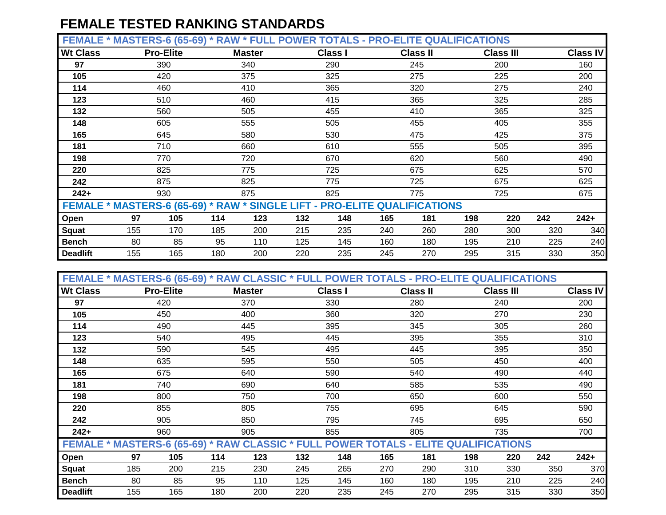**FEMALE \* MASTERS-6 (65-69) \* RAW \* FULL POWER TOTALS - PRO-ELITE QUALIFICATIONS**

|                 |                                                                           |                  | $-1$ |               |     |                |     |                 |     |                  |     |                 |
|-----------------|---------------------------------------------------------------------------|------------------|------|---------------|-----|----------------|-----|-----------------|-----|------------------|-----|-----------------|
| <b>Wt Class</b> |                                                                           | <b>Pro-Elite</b> |      | <b>Master</b> |     | <b>Class I</b> |     | <b>Class II</b> |     | <b>Class III</b> |     | <b>Class IV</b> |
| 97              |                                                                           | 390              |      | 340           |     | 290            |     | 245             |     | 200              |     | 160             |
| 105             |                                                                           | 420              |      | 375           |     | 325            |     | 275             |     | 225              |     | 200             |
| 114             |                                                                           | 460              |      | 410           |     | 365            |     | 320             |     | 275              |     | 240             |
| 123             |                                                                           | 510              |      | 460           |     | 415            |     | 365             |     | 325              |     | 285             |
| 132             |                                                                           | 560              |      | 505           |     | 455            |     | 410             |     | 365              |     | 325             |
| 148             |                                                                           | 605              |      | 555           |     | 505            |     | 455             |     | 405              |     | 355             |
| 165             |                                                                           | 645              |      | 580           |     | 530            |     | 475             |     | 425              |     | 375             |
| 181             |                                                                           | 710              |      | 660           |     | 610            |     | 555             |     | 505              |     | 395             |
| 198             |                                                                           | 770              |      | 720           |     | 670            |     | 620             |     | 560              |     | 490             |
| 220             |                                                                           | 825              |      | 775           |     | 725            |     | 675             |     | 625              |     | 570             |
| 242             |                                                                           | 875              |      | 825           |     | 775            |     | 725             |     | 675              |     | 625             |
| $242+$          |                                                                           | 930              |      | 875           |     | 825            |     | 775             |     | 725              |     | 675             |
|                 | FEMALE * MASTERS-6 (65-69) * RAW * SINGLE LIFT - PRO-ELITE QUALIFICATIONS |                  |      |               |     |                |     |                 |     |                  |     |                 |
| Open            | 97                                                                        | 105              | 114  | 123           | 132 | 148            | 165 | 181             | 198 | 220              | 242 | $242+$          |
| Squat           | 155                                                                       | 170              | 185  | 200           | 215 | 235            | 240 | 260             | 280 | 300              | 320 | 340             |
| <b>Bench</b>    | 80                                                                        | 85               | 95   | 110           | 125 | 145            | 160 | 180             | 195 | 210              | 225 | 240             |
| <b>Deadlift</b> | 155                                                                       | 165              | 180  | 200           | 220 | 235            | 245 | 270             | 295 | 315              | 330 | 350             |

|                 | FEMALE * MASTERS-6 (65-69) * RAW CLASSIC * FULL POWER TOTALS - PRO-ELITE QUALIFICATIONS |                          |     |               |     |                |     |                 |     |                  |     |                 |
|-----------------|-----------------------------------------------------------------------------------------|--------------------------|-----|---------------|-----|----------------|-----|-----------------|-----|------------------|-----|-----------------|
| <b>Wt Class</b> |                                                                                         | <b>Pro-Elite</b>         |     | <b>Master</b> |     | <b>Class I</b> |     | <b>Class II</b> |     | <b>Class III</b> |     | <b>Class IV</b> |
| 97              |                                                                                         | 420                      |     | 370           |     | 330            |     | 280             |     | 240              |     | 200             |
| 105             |                                                                                         | 450                      |     | 400           |     | 360            |     | 320             |     | 270              |     | 230             |
| 114             |                                                                                         | 490                      |     | 445           |     | 395            |     | 345             |     | 305              |     | 260             |
| 123             |                                                                                         | 540                      |     | 495           |     | 445            |     | 395             |     | 355              |     | 310             |
| 132             |                                                                                         | 590                      |     | 545           |     | 495            |     | 445             |     | 395              |     | 350             |
| 148             |                                                                                         | 635                      |     | 595           |     | 550            |     | 505             |     | 450              |     | 400             |
| 165             |                                                                                         |                          |     |               |     | 590            |     | 540             |     | 490              |     | 440             |
| 181             |                                                                                         | 675<br>640<br>740<br>690 |     |               |     | 640            |     | 585             |     | 535              |     | 490             |
| 198             |                                                                                         | 800                      |     | 750           |     | 700            |     | 650             |     | 600              |     | 550             |
| 220             |                                                                                         | 855                      |     | 805           |     | 755            |     | 695             |     | 645              |     | 590             |
| 242             |                                                                                         | 905                      |     | 850           |     | 795            |     | 745             |     | 695              |     | 650             |
| $242+$          |                                                                                         | 960                      |     | 905           |     | 855            |     | 805             |     | 735              |     | 700             |
|                 | FEMALE * MASTERS-6 (65-69) * RAW CLASSIC * FULL POWER TOTALS - ELITE QUALIFICATIONS     |                          |     |               |     |                |     |                 |     |                  |     |                 |
| Open            | 97                                                                                      | 105                      | 114 | 123           | 132 | 148            | 165 | 181             | 198 | 220              | 242 | $242+$          |
| <b>Squat</b>    | 185                                                                                     | 200                      | 215 | 230           | 245 | 265            | 270 | 290             | 310 | 330              | 350 | 370             |
| <b>Bench</b>    | 80                                                                                      | 85                       | 95  | 110           | 125 | 145            | 160 | 180             | 195 | 210              | 225 | 240             |
| <b>Deadlift</b> | 155                                                                                     | 165                      | 180 | 200           | 220 | 235            | 245 | 270             | 295 | 315              | 330 | 350             |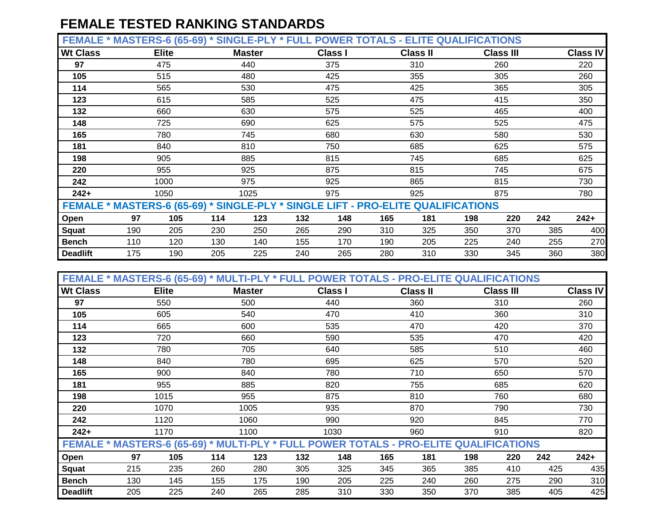**FEMALE \* MASTERS-6 (65-69) \* SINGLE-PLY \* FULL POWER TOTALS - ELITE QUALIFICATIONS**

| <b>Wt Class</b>                                                                  |     | <b>Elite</b> |     | <b>Master</b> |     | <b>Class I</b> |     | <b>Class II</b> |     | <b>Class III</b> |     | <b>Class IV</b> |
|----------------------------------------------------------------------------------|-----|--------------|-----|---------------|-----|----------------|-----|-----------------|-----|------------------|-----|-----------------|
| 97                                                                               |     | 475          |     | 440           |     | 375            |     | 310             |     | 260              |     | 220             |
| 105                                                                              |     | 515          |     | 480           |     | 425            |     | 355             |     | 305              |     | 260             |
| 114                                                                              |     | 565          |     | 530           |     | 475            |     | 425             |     | 365              |     | 305             |
| 123                                                                              |     | 615          |     | 585           |     | 525            |     | 475             |     | 415              |     | 350             |
| 132                                                                              |     | 660          |     | 630           |     | 575            |     | 525             |     | 465              |     | 400             |
| 148                                                                              |     | 725          |     | 690           |     | 625            |     | 575             |     | 525              |     | 475             |
| 165                                                                              |     | 780          |     | 745           |     | 680            |     | 630             |     | 580              |     | 530             |
| 181                                                                              |     | 840          |     | 810           |     | 750            |     | 685             |     | 625              |     | 575             |
| 198                                                                              |     | 905          |     | 885           |     | 815            |     | 745             |     | 685              |     | 625             |
| 220                                                                              |     | 955          |     | 925           |     | 875            |     | 815             |     | 745              |     | 675             |
| 242                                                                              |     | 1000         |     | 975           |     | 925            |     | 865             |     | 815              |     | 730             |
| $242+$                                                                           |     | 1050         |     | 1025          |     | 975            |     | 925             |     | 875              |     | 780             |
| FEMALE * MASTERS-6 (65-69) * SINGLE-PLY * SINGLE LIFT - PRO-ELITE QUALIFICATIONS |     |              |     |               |     |                |     |                 |     |                  |     |                 |
| Open                                                                             | 97  | 105          | 114 | 123           | 132 | 148            | 165 | 181             | 198 | 220              | 242 | $242+$          |
| Squat                                                                            | 190 | 205          | 230 | 250           | 265 | 290            | 310 | 325             | 350 | 370              | 385 | 400             |
| <b>Bench</b>                                                                     | 110 | 120          | 130 | 140           | 155 | 170            | 190 | 205             | 225 | 240              | 255 | 270             |
| <b>Deadlift</b>                                                                  | 175 | 190          | 205 | 225           | 240 | 265            | 280 | 310             | 330 | 345              | 360 | 380             |

| FEMALE * MASTERS-6 (65-69) * MULTI-PLY * FULL POWER TOTALS - PRO-ELITE QUALIFICATIONS |     |                   |     |               |     |                |     |                 |     |                  |     |                 |
|---------------------------------------------------------------------------------------|-----|-------------------|-----|---------------|-----|----------------|-----|-----------------|-----|------------------|-----|-----------------|
| <b>Wt Class</b>                                                                       |     | <b>Elite</b>      |     | <b>Master</b> |     | <b>Class I</b> |     | <b>Class II</b> |     | <b>Class III</b> |     | <b>Class IV</b> |
| 97                                                                                    |     | 550               |     | 500           |     | 440            |     | 360             |     | 310              |     | 260             |
| 105                                                                                   |     | 605               |     | 540           |     | 470            |     | 410             |     | 360              |     | 310             |
| 114                                                                                   |     | 665               |     | 600           |     | 535            |     | 470             |     | 420              |     | 370             |
| 123                                                                                   |     | 720               |     | 660           |     | 590            |     | 535             |     | 470              |     | 420             |
| 132                                                                                   |     | 780               |     | 705           |     | 640            |     | 585             |     | 510              |     | 460             |
| 148                                                                                   |     | 840<br>780<br>840 |     |               |     | 695            |     | 625             |     | 570              |     | 520             |
| 165                                                                                   |     | 900               |     |               |     | 780            |     | 710             |     | 650              |     | 570             |
| 181                                                                                   |     | 955               |     | 885           |     | 820            |     | 755             |     | 685              |     | 620             |
| 198                                                                                   |     | 1015              |     | 955           |     | 875            |     | 810             |     | 760              |     | 680             |
| 220                                                                                   |     | 1070              |     | 1005          |     | 935            |     | 870             |     | 790              |     | 730             |
| 242                                                                                   |     | 1120              |     | 1060          |     | 990            |     | 920             |     | 845              |     | 770             |
| $242+$                                                                                |     | 1170              |     | 1100          |     | 1030           |     | 960             |     | 910              |     | 820             |
| FEMALE * MASTERS-6 (65-69) * MULTI-PLY * FULL POWER TOTALS - PRO-ELITE QUALIFICATIONS |     |                   |     |               |     |                |     |                 |     |                  |     |                 |
| Open                                                                                  | 97  | 105               | 114 | 123           | 132 | 148            | 165 | 181             | 198 | 220              | 242 | $242+$          |
| <b>Squat</b>                                                                          | 215 | 235               | 260 | 280           | 305 | 325            | 345 | 365             | 385 | 410              | 425 | 435             |
| <b>Bench</b>                                                                          | 130 | 145               | 155 | 175           | 190 | 205            | 225 | 240             | 260 | 275              | 290 | 310             |
| <b>Deadlift</b>                                                                       | 205 | 225               | 240 | 265           | 285 | 310            | 330 | 350             | 370 | 385              | 405 | 425             |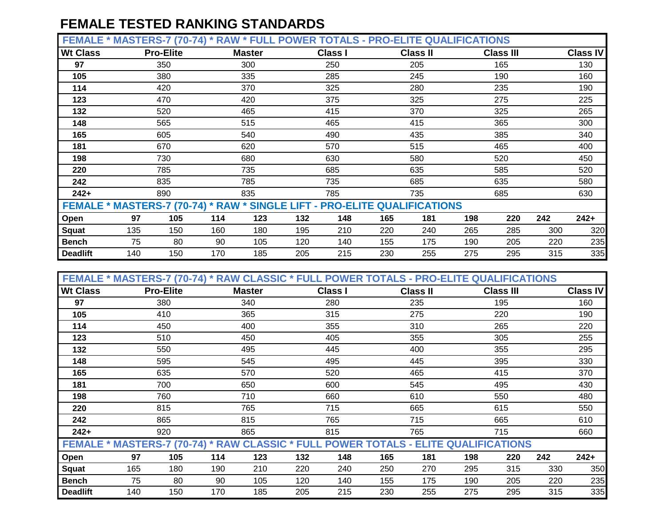**FEMALE \* MASTERS-7 (70-74) \* RAW \* FULL POWER TOTALS - PRO-ELITE QUALIFICATIONS**

| <b>Wt Class</b> |                                                                           | <b>Pro-Elite</b> |     | <b>Master</b> |     | <b>Class I</b> |     | <b>Class II</b> |     | <b>Class III</b> |     | <b>Class IV</b> |
|-----------------|---------------------------------------------------------------------------|------------------|-----|---------------|-----|----------------|-----|-----------------|-----|------------------|-----|-----------------|
| 97              |                                                                           | 350              |     | 300           |     | 250            |     | 205             |     | 165              |     | 130             |
| 105             |                                                                           | 380              |     | 335           |     | 285            |     | 245             |     | 190              |     | 160             |
| 114             |                                                                           | 420              |     | 370           |     | 325            |     | 280             |     | 235              |     | 190             |
| 123             |                                                                           | 470              |     | 420           |     | 375            |     | 325             |     | 275              |     | 225             |
| 132             |                                                                           | 520              |     | 465           |     | 415            |     | 370             |     | 325              |     | 265             |
| 148             |                                                                           | 565              |     | 515           |     | 465            |     | 415             |     | 365              |     | 300             |
| 165             |                                                                           | 605              |     | 540           |     | 490            |     | 435             |     | 385              |     | 340             |
| 181             |                                                                           | 670<br>620       |     |               |     | 570            |     | 515             |     | 465              |     | 400             |
| 198             |                                                                           | 730              |     | 680           |     | 630            |     | 580             |     | 520              |     | 450             |
| 220             |                                                                           | 785              |     | 735           |     | 685            |     | 635             |     | 585              |     | 520             |
| 242             |                                                                           | 835              |     | 785           |     | 735            |     | 685             |     | 635              |     | 580             |
| $242+$          |                                                                           | 890              |     | 835           |     | 785            |     | 735             |     | 685              |     | 630             |
|                 | FEMALE * MASTERS-7 (70-74) * RAW * SINGLE LIFT - PRO-ELITE QUALIFICATIONS |                  |     |               |     |                |     |                 |     |                  |     |                 |
| Open            | 97                                                                        | 105              | 114 | 123           | 132 | 148            | 165 | 181             | 198 | 220              | 242 | $242+$          |
| Squat           | 135                                                                       | 150              | 160 | 180           | 195 | 210            | 220 | 240             | 265 | 285              | 300 | 320             |
| <b>Bench</b>    | 75                                                                        | 80               | 90  | 105           | 120 | 140            | 155 | 175             | 190 | 205              | 220 | 235             |
| <b>Deadlift</b> | 140                                                                       | 150              | 170 | 185           | 205 | 215            | 230 | 255             | 275 | 295              | 315 | 335             |

| FEMALE * MASTERS-7 (70-74) * RAW CLASSIC * FULL POWER TOTALS - PRO-ELITE QUALIFICATIONS |     |                  |     |               |     |                |     |                 |     |                  |     |                 |
|-----------------------------------------------------------------------------------------|-----|------------------|-----|---------------|-----|----------------|-----|-----------------|-----|------------------|-----|-----------------|
| <b>Wt Class</b>                                                                         |     | <b>Pro-Elite</b> |     | <b>Master</b> |     | <b>Class I</b> |     | <b>Class II</b> |     | <b>Class III</b> |     | <b>Class IV</b> |
| 97                                                                                      |     | 380              |     | 340           |     | 280            |     | 235             |     | 195              |     | 160             |
| 105                                                                                     |     | 410              |     | 365           |     | 315            |     | 275             |     | 220              |     | 190             |
| 114                                                                                     |     | 450              |     | 400           |     | 355            |     | 310             |     | 265              |     | 220             |
| 123                                                                                     |     | 510              |     | 450           |     | 405            |     | 355             |     | 305              |     | 255             |
| 132                                                                                     |     | 550              |     | 495           |     | 445            |     | 400             |     | 355              |     | 295             |
| 148                                                                                     |     | 595              |     | 545           |     | 495            |     | 445             |     | 395              |     | 330             |
| 165                                                                                     |     | 635              | 570 |               |     | 520            |     | 465             |     | 415              |     | 370             |
| 181                                                                                     |     | 700<br>650       |     |               |     | 600            |     | 545             |     | 495              |     | 430             |
| 198                                                                                     |     | 760              |     | 710           |     | 660            |     | 610             |     | 550              |     | 480             |
| 220                                                                                     |     | 815              |     | 765           |     | 715            |     | 665             |     | 615              |     | 550             |
| 242                                                                                     |     | 865              |     | 815           |     | 765            |     | 715             |     | 665              |     | 610             |
| $242+$                                                                                  |     | 920              |     | 865           |     | 815            |     | 765             |     | 715              |     | 660             |
| FEMALE * MASTERS-7 (70-74) * RAW CLASSIC * FULL POWER TOTALS - ELITE QUALIFICATIONS     |     |                  |     |               |     |                |     |                 |     |                  |     |                 |
| Open                                                                                    | 97  | 105              | 114 | 123           | 132 | 148            | 165 | 181             | 198 | 220              | 242 | $242+$          |
| <b>Squat</b>                                                                            | 165 | 180              | 190 | 210           | 220 | 240            | 250 | 270             | 295 | 315              | 330 | 350             |
| <b>Bench</b>                                                                            | 75  | 80               | 90  | 105           | 120 | 140            | 155 | 175             | 190 | 205              | 220 | 235             |
| <b>Deadlift</b>                                                                         | 140 | 150              | 170 | 185           | 205 | 215            | 230 | 255             | 275 | 295              | 315 | 335             |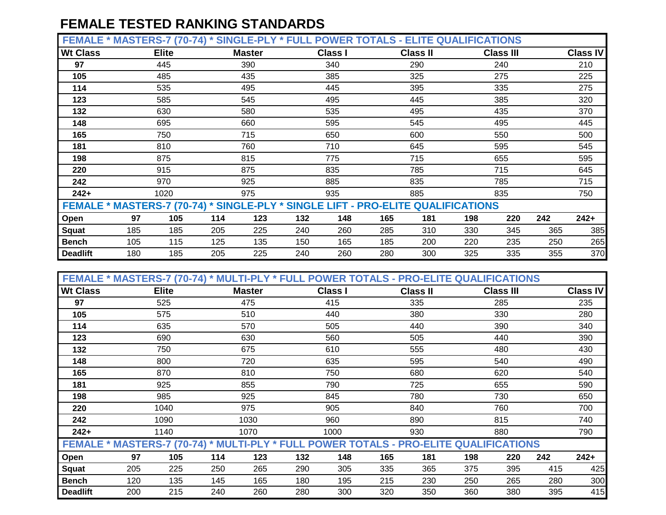| FEMALE * MASTERS-7 (70-74) * SINGLE-PLY * FULL POWER TOTALS - ELITE QUALIFICATIONS |     |              |     |               |     |                |     |                 |     |                  |     |          |
|------------------------------------------------------------------------------------|-----|--------------|-----|---------------|-----|----------------|-----|-----------------|-----|------------------|-----|----------|
| <b>Wt Class</b>                                                                    |     | <b>Elite</b> |     | <b>Master</b> |     | <b>Class I</b> |     | <b>Class II</b> |     | <b>Class III</b> |     | Class IV |
| 97                                                                                 |     | 445          |     | 390           |     | 340            |     | 290             |     | 240              |     | 210      |
| 105                                                                                |     | 485          |     | 435           |     | 385            |     | 325             |     | 275              |     | 225      |
| 114                                                                                |     | 535          |     | 495           |     | 445            |     | 395             |     | 335              |     | 275      |
| 123                                                                                |     | 585          |     | 545           |     | 495            |     | 445             |     | 385              |     | 320      |
| 132                                                                                |     | 630          |     | 580           |     | 535            |     | 495             |     | 435              |     | 370      |
| 148                                                                                |     | 695          |     | 660           |     | 595            |     | 545             |     | 495              |     | 445      |
| 165                                                                                |     | 750          |     | 715           |     | 650            |     | 600             |     | 550              |     | 500      |
| 181                                                                                |     | 810          |     |               |     | 710            |     | 645             |     | 595              |     | 545      |
| 198                                                                                |     | 875          |     | 815           |     | 775            |     | 715             |     | 655              |     | 595      |
| 220                                                                                |     | 915          |     | 875           |     | 835            |     | 785             |     | 715              |     | 645      |
| 242                                                                                |     | 970          |     | 925           |     | 885            |     | 835             |     | 785              |     | 715      |
| $242+$                                                                             |     | 1020         |     | 975           |     | 935            |     | 885             |     | 835              |     | 750      |
| FEMALE * MASTERS-7 (70-74) * SINGLE-PLY * SINGLE LIFT - PRO-ELITE QUALIFICATIONS   |     |              |     |               |     |                |     |                 |     |                  |     |          |
| Open                                                                               | 97  | 105          | 114 | 123           | 132 | 148            | 165 | 181             | 198 | 220              | 242 | $242+$   |
| <b>Squat</b>                                                                       | 185 | 185          | 205 | 225           | 240 | 260            | 285 | 310             | 330 | 345              | 365 | 385      |
| <b>Bench</b>                                                                       | 105 | 115          | 125 | 135           | 150 | 165            | 185 | 200             | 220 | 235              | 250 | 265      |
| <b>Deadlift</b>                                                                    | 180 | 185          | 205 | 225           | 240 | 260            | 280 | 300             | 325 | 335              | 355 | 370      |

| FEMALE * MASTERS-7 (70-74) * MULTI-PLY * FULL POWER TOTALS - PRO-ELITE QUALIFICATIONS |     |                   |     |               |     |                |     |                 |     |                  |     |                 |
|---------------------------------------------------------------------------------------|-----|-------------------|-----|---------------|-----|----------------|-----|-----------------|-----|------------------|-----|-----------------|
| <b>Wt Class</b>                                                                       |     | <b>Elite</b>      |     | <b>Master</b> |     | <b>Class I</b> |     | <b>Class II</b> |     | <b>Class III</b> |     | <b>Class IV</b> |
| 97                                                                                    |     | 525               |     | 475           |     | 415            |     | 335             |     | 285              |     | 235             |
| 105                                                                                   |     | 575               |     | 510           |     | 440            |     | 380             |     | 330              |     | 280             |
| 114                                                                                   |     | 635               |     | 570           |     | 505            |     | 440             |     | 390              |     | 340             |
| 123                                                                                   |     | 690               |     | 630           |     | 560            |     | 505             |     | 440              |     | 390             |
| 132                                                                                   |     | 750               |     | 675           |     | 610            |     | 555             |     | 480              |     | 430             |
| 148                                                                                   |     | 800<br>720<br>810 |     |               |     | 635            |     | 595             |     | 540              |     | 490             |
| 165                                                                                   |     | 870               |     |               |     | 750            |     | 680             |     | 620              |     | 540             |
| 181                                                                                   |     | 925               |     | 855           |     | 790            |     | 725             |     | 655              |     | 590             |
| 198                                                                                   |     | 985               |     | 925           |     | 845            |     | 780             |     | 730              |     | 650             |
| 220                                                                                   |     | 1040              |     | 975           |     | 905            |     | 840             |     | 760              |     | 700             |
| 242                                                                                   |     | 1090              |     | 1030          |     | 960            |     | 890             |     | 815              |     | 740             |
| $242+$                                                                                |     | 1140              |     | 1070          |     | 1000           |     | 930             |     | 880              |     | 790             |
| FEMALE * MASTERS-7 (70-74) * MULTI-PLY * FULL POWER TOTALS - PRO-ELITE QUALIFICATIONS |     |                   |     |               |     |                |     |                 |     |                  |     |                 |
| Open                                                                                  | 97  | 105               | 114 | 123           | 132 | 148            | 165 | 181             | 198 | 220              | 242 | $242+$          |
| <b>Squat</b>                                                                          | 205 | 225               | 250 | 265           | 290 | 305            | 335 | 365             | 375 | 395              | 415 | 425             |
| <b>Bench</b>                                                                          | 120 | 135               | 145 | 165           | 180 | 195            | 215 | 230             | 250 | 265              | 280 | 300             |
| <b>Deadlift</b>                                                                       | 200 | 215               | 240 | 260           | 280 | 300            | 320 | 350             | 360 | 380              | 395 | 415             |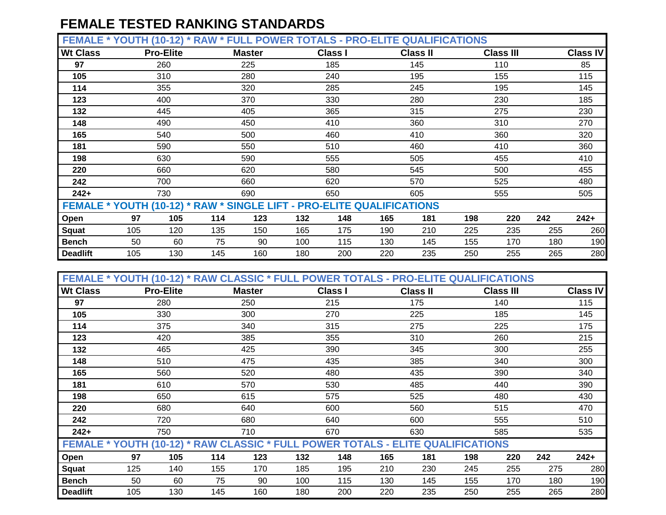**FEMALE \* YOUTH (10-12) \* RAW \* FULL POWER TOTALS - PRO-ELITE QUALIFICATIONS**

| --------        |                                                                       |                  | .          |               | _______ |                | .   |                 |     |                  |     |                 |
|-----------------|-----------------------------------------------------------------------|------------------|------------|---------------|---------|----------------|-----|-----------------|-----|------------------|-----|-----------------|
| <b>Wt Class</b> |                                                                       | <b>Pro-Elite</b> |            | <b>Master</b> |         | <b>Class I</b> |     | <b>Class II</b> |     | <b>Class III</b> |     | <b>Class IV</b> |
| 97              |                                                                       | 260              |            | 225           |         | 185            |     | 145             |     | 110              |     | 85              |
| 105             |                                                                       | 310              |            | 280           |         | 240            |     | 195             |     | 155              |     | 115             |
| 114             |                                                                       | 355              |            | 320           |         | 285            |     | 245             |     | 195              |     | 145             |
| 123             |                                                                       | 400              |            | 370           |         | 330            |     | 280             |     | 230              |     | 185             |
| 132             |                                                                       | 445              |            | 405           |         | 365            |     | 315             |     | 275              |     | 230             |
| 148             |                                                                       | 490              | 450<br>500 |               |         | 410            |     | 360             |     | 310              |     | 270             |
| 165             |                                                                       | 540<br>550       |            |               |         | 460            |     | 410             |     | 360              |     | 320             |
| 181             |                                                                       | 590              |            |               |         | 510            |     | 460             |     | 410              |     | 360             |
| 198             |                                                                       | 630              |            |               |         | 555            |     | 505             |     | 455              |     | 410             |
| 220             |                                                                       | 660              |            | 620           |         | 580            |     | 545             |     | 500              |     | 455             |
| 242             |                                                                       | 700              |            | 660           |         | 620            |     | 570             |     | 525              |     | 480             |
| $242+$          |                                                                       | 730              |            | 690           |         | 650            |     | 605             |     | 555              |     | 505             |
|                 | FEMALE * YOUTH (10-12) * RAW * SINGLE LIFT - PRO-ELITE QUALIFICATIONS |                  |            |               |         |                |     |                 |     |                  |     |                 |
| Open            | 97                                                                    | 105              | 114        | 123           | 132     | 148            | 165 | 181             | 198 | 220              | 242 | $242+$          |
| Squat           | 105                                                                   | 120              | 135        | 150           | 165     | 175            | 190 | 210             | 225 | 235              | 255 | 260             |
| <b>Bench</b>    | 50                                                                    | 60               | 75         | 90            | 100     | 115            | 130 | 145             | 155 | 170              | 180 | 190             |
| <b>Deadlift</b> | 105                                                                   | 130              | 145        | 160           | 180     | 200            | 220 | 235             | 250 | 255              | 265 | 280             |

| FEMALE * YOUTH (10-12) * RAW CLASSIC * FULL POWER TOTALS - PRO-ELITE QUALIFICATIONS |     |                  |     |               |     |                |     |                 |     |                  |     |                 |
|-------------------------------------------------------------------------------------|-----|------------------|-----|---------------|-----|----------------|-----|-----------------|-----|------------------|-----|-----------------|
| <b>Wt Class</b>                                                                     |     | <b>Pro-Elite</b> |     | <b>Master</b> |     | <b>Class I</b> |     | <b>Class II</b> |     | <b>Class III</b> |     | <b>Class IV</b> |
| 97                                                                                  |     | 280              |     | 250           |     | 215            |     | 175             |     | 140              |     | 115             |
| 105                                                                                 |     | 330              |     | 300           |     | 270            |     | 225             |     | 185              |     | 145             |
| 114                                                                                 |     | 375              |     | 340           |     | 315            |     | 275             |     | 225              |     | 175             |
| 123                                                                                 |     | 420              |     | 385           |     | 355            |     | 310             |     | 260              |     | 215             |
| 132                                                                                 |     | 465              |     | 425           |     | 390            |     | 345             |     | 300              |     | 255             |
| 148                                                                                 |     | 510              |     | 475           |     | 435            |     | 385             |     | 340              |     | 300             |
| 165                                                                                 |     | 560<br>610       |     |               |     | 480            |     | 435             |     | 390              |     | 340             |
| 181                                                                                 |     |                  |     | 570           |     | 530            |     | 485             |     | 440              |     | 390             |
| 198                                                                                 |     | 650              |     |               |     | 575            |     | 525             |     | 480              |     | 430             |
| 220                                                                                 |     | 680              |     | 640           |     | 600            |     | 560             |     | 515              |     | 470             |
| 242                                                                                 |     | 720              |     | 680           |     | 640            |     | 600             |     | 555              |     | 510             |
| $242+$                                                                              |     | 750              |     | 710           |     | 670            |     | 630             |     | 585              |     | 535             |
| FEMALE * YOUTH (10-12) * RAW CLASSIC * FULL POWER TOTALS - ELITE QUALIFICATIONS     |     |                  |     |               |     |                |     |                 |     |                  |     |                 |
| Open                                                                                | 97  | 105              | 114 | 123           | 132 | 148            | 165 | 181             | 198 | 220              | 242 | $242+$          |
| <b>Squat</b>                                                                        | 125 | 140              | 155 | 170           | 185 | 195            | 210 | 230             | 245 | 255              | 275 | 280             |
| <b>Bench</b>                                                                        | 50  | 60               | 75  | 90            | 100 | 115            | 130 | 145             | 155 | 170              | 180 | 190             |
| <b>Deadlift</b>                                                                     | 105 | 130              | 145 | 160           | 180 | 200            | 220 | 235             | 250 | 255              | 265 | 280             |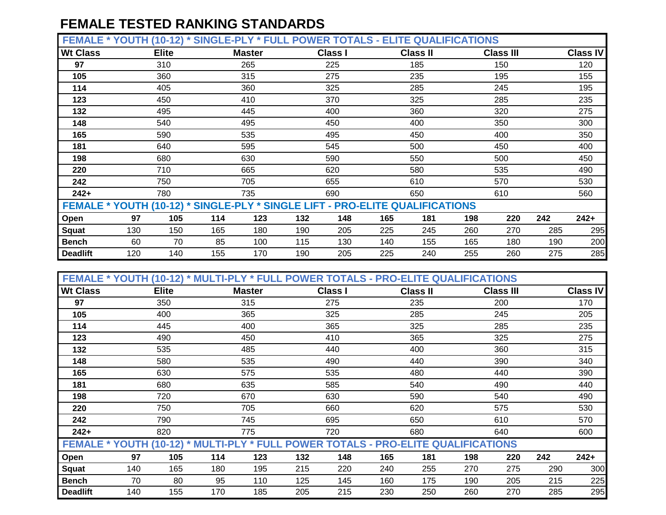**FEMALE \* YOUTH (10-12) \* SINGLE-PLY \* FULL POWER TOTALS - ELITE QUALIFICATIONS**

|                 |     | $\cdots$     |                                                                              |               |     |                |     |                 |     |                  |     |                 |
|-----------------|-----|--------------|------------------------------------------------------------------------------|---------------|-----|----------------|-----|-----------------|-----|------------------|-----|-----------------|
| <b>Wt Class</b> |     | <b>Elite</b> |                                                                              | <b>Master</b> |     | <b>Class I</b> |     | <b>Class II</b> |     | <b>Class III</b> |     | <b>Class IV</b> |
| 97              |     | 310          |                                                                              | 265           |     | 225            |     | 185             |     | 150              |     | 120             |
| 105             |     | 360          |                                                                              | 315           |     | 275            |     | 235             |     | 195              |     | 155             |
| 114             |     | 405          |                                                                              | 360           |     | 325            |     | 285             |     | 245              |     | 195             |
| 123             |     | 450          |                                                                              | 410           |     | 370            |     | 325             |     | 285              |     | 235             |
| 132             |     | 495          |                                                                              | 445           |     | 400            |     | 360             |     | 320              |     | 275             |
| 148             |     | 540          |                                                                              | 495           |     | 450            |     | 400             |     | 350              |     | 300             |
| 165             |     | 590          |                                                                              | 535           |     | 495            |     | 450             |     | 400              |     | 350             |
| 181             |     | 640          |                                                                              |               | 545 |                | 500 |                 | 450 |                  | 400 |                 |
| 198             |     | 680          |                                                                              | 630           |     | 590            |     | 550             |     | 500              |     | 450             |
| 220             |     | 710          |                                                                              | 665           |     | 620            |     | 580             |     | 535              |     | 490             |
| 242             |     | 750          |                                                                              | 705           |     | 655            |     | 610             |     | 570              |     | 530             |
| $242+$          |     | 780          |                                                                              | 735           |     | 690            |     | 650             |     | 610              |     | 560             |
|                 |     |              | FEMALE * YOUTH (10-12) * SINGLE-PLY * SINGLE LIFT - PRO-ELITE QUALIFICATIONS |               |     |                |     |                 |     |                  |     |                 |
| Open            | 97  | 105          | 114                                                                          | 123           | 132 | 148            | 165 | 181             | 198 | 220              | 242 | $242+$          |
| Squat           | 130 | 150          | 165                                                                          | 180           | 190 | 205            | 225 | 245             | 260 | 270              | 285 | 295             |
| <b>Bench</b>    | 60  | 70           | 85                                                                           | 100           | 115 | 130            | 140 | 155             | 165 | 180              | 190 | 200             |
| <b>Deadlift</b> | 120 | 140          | 155                                                                          | 170           | 190 | 205            | 225 | 240             | 255 | 260              | 275 | 285             |

| FEMALE * YOUTH (10-12) * MULTI-PLY * FULL POWER TOTALS - PRO-ELITE QUALIFICATIONS |     |              |            |               |     |                |     |                 |     |                  |     |                 |
|-----------------------------------------------------------------------------------|-----|--------------|------------|---------------|-----|----------------|-----|-----------------|-----|------------------|-----|-----------------|
| <b>Wt Class</b>                                                                   |     | <b>Elite</b> |            | <b>Master</b> |     | <b>Class I</b> |     | <b>Class II</b> |     | <b>Class III</b> |     | <b>Class IV</b> |
| 97                                                                                |     | 350          |            | 315           |     | 275            |     | 235             |     | 200              |     | 170             |
| 105                                                                               |     | 400          |            | 365           |     | 325            |     | 285             |     | 245              |     | 205             |
| 114                                                                               |     | 445          |            | 400           |     | 365            |     | 325             |     | 285              |     | 235             |
| 123                                                                               |     | 490          |            | 450           |     | 410            |     | 365             |     | 325              |     | 275             |
| 132                                                                               |     | 535          |            | 485           |     | 440            |     | 400             |     | 360              |     | 315             |
| 148                                                                               |     | 580          | 535<br>575 |               |     | 490            |     | 440             |     | 390              |     | 340             |
| 165                                                                               |     | 630          |            |               |     | 535            |     | 480             |     | 440              |     | 390             |
| 181                                                                               |     | 680          |            | 635           |     | 585            |     | 540             |     | 490              |     | 440             |
| 198                                                                               |     | 720          |            | 670           |     | 630            |     | 590             |     | 540              |     | 490             |
| 220                                                                               |     | 750          |            | 705           |     | 660            |     | 620             |     | 575              |     | 530             |
| 242                                                                               |     | 790          |            | 745           |     | 695            |     | 650             |     | 610              |     | 570             |
| $242+$                                                                            |     | 820          |            | 775           |     | 720            |     | 680             |     | 640              |     | 600             |
| FEMALE * YOUTH (10-12) * MULTI-PLY * FULL POWER TOTALS - PRO-ELITE QUALIFICATIONS |     |              |            |               |     |                |     |                 |     |                  |     |                 |
| Open                                                                              | 97  | 105          | 114        | 123           | 132 | 148            | 165 | 181             | 198 | 220              | 242 | $242+$          |
| <b>Squat</b>                                                                      | 140 | 165          | 180        | 195           | 215 | 220            | 240 | 255             | 270 | 275              | 290 | 300             |
| <b>Bench</b>                                                                      | 70  | 80           | 95         | 110           | 125 | 145            | 160 | 175             | 190 | 205              | 215 | 225             |
| <b>Deadlift</b>                                                                   | 140 | 155          | 170        | 185           | 205 | 215            | 230 | 250             | 260 | 270              | 285 | 295             |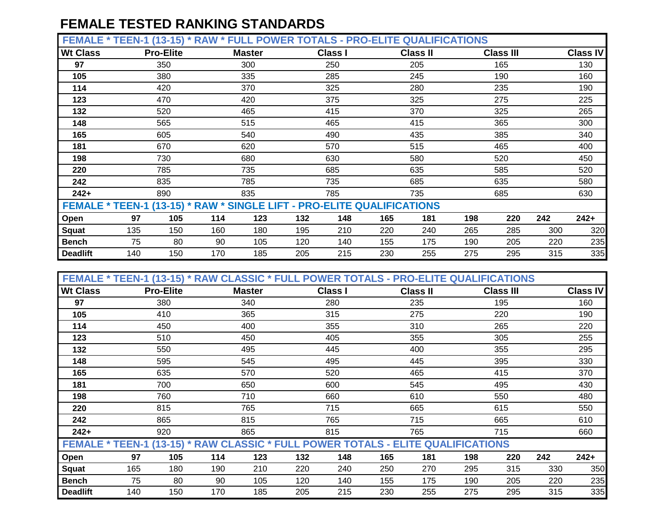**FEMALE \* TEEN-1 (13-15) \* RAW \* FULL POWER TOTALS - PRO-ELITE QUALIFICATIONS**

| --------                                                               | $1 - 1$ $1 - 1$ $1 - 1$ |                  | .   |               |     | .              |     |                 |     |                  |     |                 |
|------------------------------------------------------------------------|-------------------------|------------------|-----|---------------|-----|----------------|-----|-----------------|-----|------------------|-----|-----------------|
| <b>Wt Class</b>                                                        |                         | <b>Pro-Elite</b> |     | <b>Master</b> |     | <b>Class I</b> |     | <b>Class II</b> |     | <b>Class III</b> |     | <b>Class IV</b> |
| 97                                                                     |                         | 350              |     | 300           |     | 250            |     | 205             |     | 165              |     | 130             |
| 105                                                                    |                         | 380              |     | 335           |     | 285            |     | 245             |     | 190              |     | 160             |
| 114                                                                    |                         | 420              |     | 370           |     | 325            |     | 280             |     | 235              |     | 190             |
| 123                                                                    |                         | 470              |     | 420           |     | 375            |     | 325             |     | 275              |     | 225             |
| 132                                                                    |                         | 520              |     | 465           |     | 415            |     | 370             |     | 325              |     | 265             |
| 148                                                                    |                         | 565              |     | 515           |     | 465            |     | 415             |     | 365              |     | 300             |
| 165                                                                    |                         | 605              |     | 540           |     | 490            |     | 435             |     | 385              |     | 340             |
| 181                                                                    |                         | 670              |     |               |     | 570            |     | 515             |     | 465              |     | 400             |
| 198                                                                    |                         | 730              |     | 680           |     | 630            |     | 580             |     | 520              |     | 450             |
| 220                                                                    |                         | 785              |     | 735           |     | 685            |     | 635             |     | 585              |     | 520             |
| 242                                                                    |                         | 835              |     | 785           |     | 735            |     | 685             |     | 635              |     | 580             |
| $242+$                                                                 |                         | 890              |     | 835           |     | 785            |     | 735             |     | 685              |     | 630             |
| FEMALE * TEEN-1 (13-15) * RAW * SINGLE LIFT - PRO-ELITE QUALIFICATIONS |                         |                  |     |               |     |                |     |                 |     |                  |     |                 |
| Open                                                                   | 97                      | 105              | 114 | 123           | 132 | 148            | 165 | 181             | 198 | 220              | 242 | $242+$          |
| Squat                                                                  | 135                     | 150              | 160 | 180           | 195 | 210            | 220 | 240             | 265 | 285              | 300 | 320             |
| <b>Bench</b>                                                           | 75                      | 80               | 90  | 105           | 120 | 140            | 155 | 175             | 190 | 205              | 220 | 235             |
| <b>Deadlift</b>                                                        | 140                     | 150              | 170 | 185           | 205 | 215            | 230 | 255             | 275 | 295              | 315 | 335             |

| FEMALE * TEEN-1 (13-15) * RAW CLASSIC * FULL POWER TOTALS - PRO-ELITE QUALIFICATIONS |     |                  |     |               |     |                |     |                 |     |                  |     |                 |
|--------------------------------------------------------------------------------------|-----|------------------|-----|---------------|-----|----------------|-----|-----------------|-----|------------------|-----|-----------------|
| <b>Wt Class</b>                                                                      |     | <b>Pro-Elite</b> |     | <b>Master</b> |     | <b>Class I</b> |     | <b>Class II</b> |     | <b>Class III</b> |     | <b>Class IV</b> |
| 97                                                                                   |     | 380              |     | 340           |     | 280            |     | 235             |     | 195              |     | 160             |
| 105                                                                                  |     | 410              |     | 365           |     | 315            |     | 275             |     | 220              |     | 190             |
| 114                                                                                  |     | 450              |     | 400           |     | 355            |     | 310             |     | 265              |     | 220             |
| 123                                                                                  |     | 510              |     | 450           |     | 405            |     | 355             |     | 305              |     | 255             |
| 132                                                                                  |     | 550              |     | 495           |     | 445            |     | 400             |     | 355              |     | 295             |
| 148                                                                                  |     | 595              |     | 545<br>570    |     | 495            |     | 445             |     | 395              |     | 330             |
| 165                                                                                  |     | 635              |     |               |     | 520            |     | 465             |     | 415              |     | 370             |
| 181                                                                                  |     | 700              |     | 650           |     | 600            |     | 545             |     | 495              |     | 430             |
| 198                                                                                  |     | 760              |     | 710           |     | 660            |     | 610             |     | 550              |     | 480             |
| 220                                                                                  |     | 815              |     | 765           |     | 715            |     | 665             |     | 615              |     | 550             |
| 242                                                                                  |     | 865              |     | 815           |     | 765            |     | 715             |     | 665              |     | 610             |
| $242+$                                                                               |     | 920              |     | 865           |     | 815            |     | 765             |     | 715              |     | 660             |
| FEMALE * TEEN-1 (13-15) * RAW CLASSIC * FULL POWER TOTALS - ELITE QUALIFICATIONS     |     |                  |     |               |     |                |     |                 |     |                  |     |                 |
| Open                                                                                 | 97  | 105              | 114 | 123           | 132 | 148            | 165 | 181             | 198 | 220              | 242 | $242+$          |
| <b>Squat</b>                                                                         | 165 | 180              | 190 | 210           | 220 | 240            | 250 | 270             | 295 | 315              | 330 | 350             |
| <b>Bench</b>                                                                         | 75  | 80               | 90  | 105           | 120 | 140            | 155 | 175             | 190 | 205              | 220 | 235             |
| <b>Deadlift</b>                                                                      | 140 | 150              | 170 | 185           | 205 | 215            | 230 | 255             | 275 | 295              | 315 | 335             |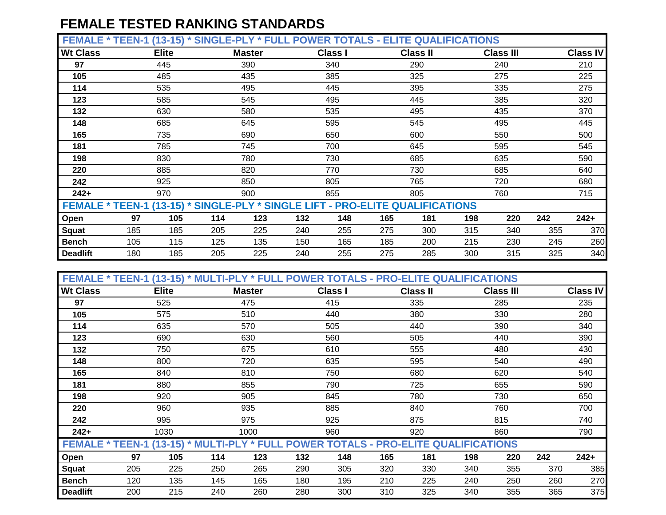**FEMALE \* TEEN-1 (13-15) \* SINGLE-PLY \* FULL POWER TOTALS - ELITE QUALIFICATIONS**

| <b>Wt Class</b>                                                               |     | $-1$<br><b>Elite</b> |     | <b>Master</b> |     | <b>Class I</b> |     | <b>Class II</b> |     | <b>Class III</b> |     | <b>Class IV</b> |
|-------------------------------------------------------------------------------|-----|----------------------|-----|---------------|-----|----------------|-----|-----------------|-----|------------------|-----|-----------------|
| 97                                                                            |     | 445                  |     | 390           |     | 340            |     | 290             |     | 240              |     | 210             |
| 105                                                                           |     | 485                  |     | 435           |     | 385            |     | 325             |     | 275              |     | 225             |
| 114                                                                           |     | 535                  |     | 495           |     | 445            |     | 395             |     | 335              |     | 275             |
| 123                                                                           |     | 585                  |     | 545           |     | 495            |     | 445             |     | 385              |     | 320             |
| 132                                                                           |     | 630                  |     | 580           |     | 535            |     | 495             |     | 435              |     | 370             |
| 148                                                                           |     | 685                  |     | 645           |     | 595            |     | 545             |     | 495              |     | 445             |
| 165                                                                           |     | 735                  |     | 690           |     | 650            |     | 600             |     | 550              |     | 500             |
| 181                                                                           |     | 785                  |     | 745           |     | 700            |     | 645             |     | 595              |     | 545             |
| 198                                                                           |     | 830                  |     | 780           |     | 730            |     | 685             |     | 635              |     | 590             |
| 220                                                                           |     | 885                  |     | 820           |     | 770            |     | 730             |     | 685              |     | 640             |
| 242                                                                           |     | 925                  |     | 850           |     | 805            |     | 765             |     | 720              |     | 680             |
| $242+$                                                                        |     | 970                  |     | 900           |     | 855            |     | 805             |     | 760              |     | 715             |
| FEMALE * TEEN-1 (13-15) * SINGLE-PLY * SINGLE LIFT - PRO-ELITE QUALIFICATIONS |     |                      |     |               |     |                |     |                 |     |                  |     |                 |
| Open                                                                          | 97  | 105                  | 114 | 123           | 132 | 148            | 165 | 181             | 198 | 220              | 242 | $242+$          |
| Squat                                                                         | 185 | 185                  | 205 | 225           | 240 | 255            | 275 | 300             | 315 | 340              | 355 | 370             |
| <b>Bench</b>                                                                  | 105 | 115                  | 125 | 135           | 150 | 165            | 185 | 200             | 215 | 230              | 245 | 260             |
| <b>Deadlift</b>                                                               | 180 | 185                  | 205 | 225           | 240 | 255            | 275 | 285             | 300 | 315              | 325 | 340             |

| FEMALE * TEEN-1 (13-15) * MULTI-PLY * FULL POWER TOTALS - PRO-ELITE QUALIFICATIONS |     |              |     |               |     |                |     |                 |     |                  |     |                 |
|------------------------------------------------------------------------------------|-----|--------------|-----|---------------|-----|----------------|-----|-----------------|-----|------------------|-----|-----------------|
| <b>Wt Class</b>                                                                    |     | <b>Elite</b> |     | <b>Master</b> |     | <b>Class I</b> |     | <b>Class II</b> |     | <b>Class III</b> |     | <b>Class IV</b> |
| 97                                                                                 |     | 525          |     | 475           |     | 415            |     | 335             |     | 285              |     | 235             |
| 105                                                                                |     | 575          |     | 510           |     | 440            |     | 380             |     | 330              |     | 280             |
| 114                                                                                |     | 635          |     | 570           |     | 505            |     | 440             |     | 390              |     | 340             |
| 123                                                                                |     | 690          |     | 630           |     | 560            |     | 505             |     | 440              |     | 390             |
| 132                                                                                |     | 750          |     | 675           |     | 610            |     | 555             |     | 480              |     | 430             |
| 148                                                                                |     | 800          |     | 720           |     | 635            |     | 595             |     | 540              |     | 490             |
| 165                                                                                |     | 840          |     | 810           |     | 750            |     | 680             |     | 620              |     | 540             |
| 181                                                                                |     | 880          |     | 855           |     | 790            |     | 725             |     | 655              |     | 590             |
| 198                                                                                |     | 920          |     | 905           |     | 845            |     | 780             |     | 730              |     | 650             |
| 220                                                                                |     | 960          |     | 935           |     | 885            |     | 840             |     | 760              |     | 700             |
| 242                                                                                |     | 995          |     | 975           |     | 925            |     | 875             |     | 815              |     | 740             |
| $242+$                                                                             |     | 1030         |     | 1000          |     | 960            |     | 920             |     | 860              |     | 790             |
| FEMALE * TEEN-1 (13-15) * MULTI-PLY * FULL POWER TOTALS - PRO-ELITE QUALIFICATIONS |     |              |     |               |     |                |     |                 |     |                  |     |                 |
| Open                                                                               | 97  | 105          | 114 | 123           | 132 | 148            | 165 | 181             | 198 | 220              | 242 | $242+$          |
| <b>Squat</b>                                                                       | 205 | 225          | 250 | 265           | 290 | 305            | 320 | 330             | 340 | 355              | 370 | 385             |
| <b>Bench</b>                                                                       | 120 | 135          | 145 | 165           | 180 | 195            | 210 | 225             | 240 | 250              | 260 | 270             |
| <b>Deadlift</b>                                                                    | 200 | 215          | 240 | 260           | 280 | 300            | 310 | 325             | 340 | 355              | 365 | 375             |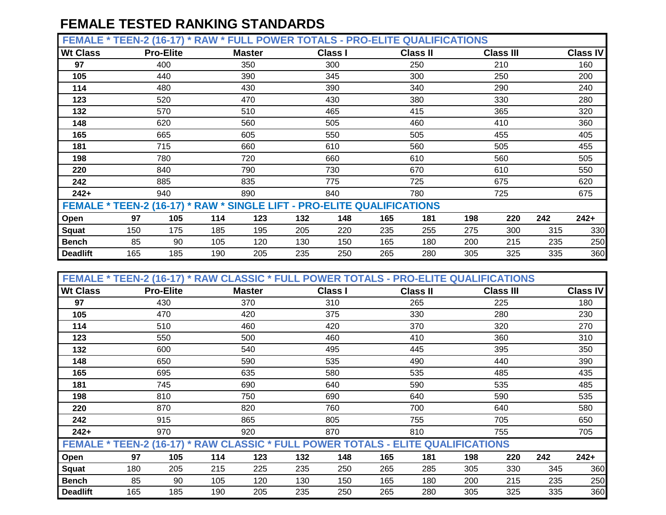**FEMALE \* TEEN-2 (16-17) \* RAW \* FULL POWER TOTALS - PRO-ELITE QUALIFICATIONS**

| --------                                                               | $\blacksquare$ |                  | .   | --            |     |                | .   |                 |     |                  |     |                 |
|------------------------------------------------------------------------|----------------|------------------|-----|---------------|-----|----------------|-----|-----------------|-----|------------------|-----|-----------------|
| <b>Wt Class</b>                                                        |                | <b>Pro-Elite</b> |     | <b>Master</b> |     | <b>Class I</b> |     | <b>Class II</b> |     | <b>Class III</b> |     | <b>Class IV</b> |
| 97                                                                     |                | 400              |     | 350           |     | 300            |     | 250             |     | 210              |     | 160             |
| 105                                                                    |                | 440              |     | 390           |     | 345            |     | 300             |     | 250              |     | 200             |
| 114                                                                    |                | 480              |     | 430           |     | 390            |     | 340             |     | 290              |     | 240             |
| 123                                                                    |                | 520              |     | 470           |     | 430            |     | 380             |     | 330              |     | 280             |
| 132                                                                    |                | 570              |     | 510           |     | 465            |     | 415             |     | 365              |     | 320             |
| 148                                                                    |                | 620              |     | 560           |     | 505            |     | 460             |     | 410              |     | 360             |
| 165                                                                    |                | 665              |     | 605           |     | 550            |     | 505             |     | 455              |     | 405             |
| 181                                                                    |                | 715              |     |               |     | 610            |     | 560             |     | 505              |     | 455             |
| 198                                                                    |                | 780              |     | 720           |     | 660            |     | 610             |     | 560              |     | 505             |
| 220                                                                    |                | 840              |     | 790           |     | 730            |     | 670             |     | 610              |     | 550             |
| 242                                                                    |                | 885              |     | 835           |     | 775            |     | 725             |     | 675              |     | 620             |
| $242+$                                                                 |                | 940              |     | 890           |     | 840            |     | 780             |     | 725              |     | 675             |
| FEMALE * TEEN-2 (16-17) * RAW * SINGLE LIFT - PRO-ELITE QUALIFICATIONS |                |                  |     |               |     |                |     |                 |     |                  |     |                 |
| Open                                                                   | 97             | 105              | 114 | 123           | 132 | 148            | 165 | 181             | 198 | 220              | 242 | $242+$          |
| Squat                                                                  | 150            | 175              | 185 | 195           | 205 | 220            | 235 | 255             | 275 | 300              | 315 | 330             |
| <b>Bench</b>                                                           | 85             | 90               | 105 | 120           | 130 | 150            | 165 | 180             | 200 | 215              | 235 | 250             |
| <b>Deadlift</b>                                                        | 165            | 185              | 190 | 205           | 235 | 250            | 265 | 280             | 305 | 325              | 335 | 360             |

| FEMALE * TEEN-2 (16-17) * RAW CLASSIC * FULL POWER TOTALS - PRO-ELITE QUALIFICATIONS |     |                  |     |               |     |                |     |                 |     |     |                  |     |                 |
|--------------------------------------------------------------------------------------|-----|------------------|-----|---------------|-----|----------------|-----|-----------------|-----|-----|------------------|-----|-----------------|
| <b>Wt Class</b>                                                                      |     | <b>Pro-Elite</b> |     | <b>Master</b> |     | <b>Class I</b> |     | <b>Class II</b> |     |     | <b>Class III</b> |     | <b>Class IV</b> |
| 97                                                                                   |     | 430              |     | 370           |     | 310            |     | 265             |     |     | 225              |     | 180             |
| 105                                                                                  |     | 470              |     | 420           |     | 375            |     | 330             |     |     | 280              |     | 230             |
| 114                                                                                  |     | 510              |     | 460           |     | 420            |     | 370             |     |     | 320              |     | 270             |
| 123                                                                                  |     | 550              |     | 500           |     | 460            |     | 410             |     |     | 360              |     | 310             |
| 132                                                                                  |     | 600              |     | 540           |     | 495            |     | 445             |     |     | 395              |     | 350             |
| 148                                                                                  |     | 650              |     | 590<br>635    |     | 535            |     | 490             |     |     | 440              |     | 390             |
| 165                                                                                  |     |                  |     |               |     | 580            |     | 535             |     |     | 485              |     | 435             |
| 181                                                                                  |     | 695<br>745       |     | 690           |     | 640            |     | 590             |     |     | 535              |     | 485             |
| 198                                                                                  |     | 810              |     | 750           |     | 690            |     | 640             |     |     | 590              |     | 535             |
| 220                                                                                  |     | 870              |     | 820           |     | 760            |     | 700             |     |     | 640              |     | 580             |
| 242                                                                                  |     | 915              |     | 865           |     | 805            |     | 755             |     |     | 705              |     | 650             |
| $242+$                                                                               |     | 970              |     | 920           |     | 870            |     | 810             |     |     | 755              |     | 705             |
| FEMALE * TEEN-2 (16-17) * RAW CLASSIC * FULL POWER TOTALS - ELITE QUALIFICATIONS     |     |                  |     |               |     |                |     |                 |     |     |                  |     |                 |
| Open                                                                                 | 97  | 105              | 114 | 123           | 132 | 148            | 165 |                 | 181 | 198 | 220              | 242 | $242+$          |
| Squat                                                                                | 180 | 205              | 215 | 225           | 235 | 250            | 265 |                 | 285 | 305 | 330              | 345 | 360             |
| <b>Bench</b>                                                                         | 85  | 90               | 105 | 120           | 130 | 150            | 165 |                 | 180 | 200 | 215              | 235 | 250             |
| <b>Deadlift</b>                                                                      | 165 | 185              | 190 | 205           | 235 | 250            | 265 |                 | 280 | 305 | 325              | 335 | 360             |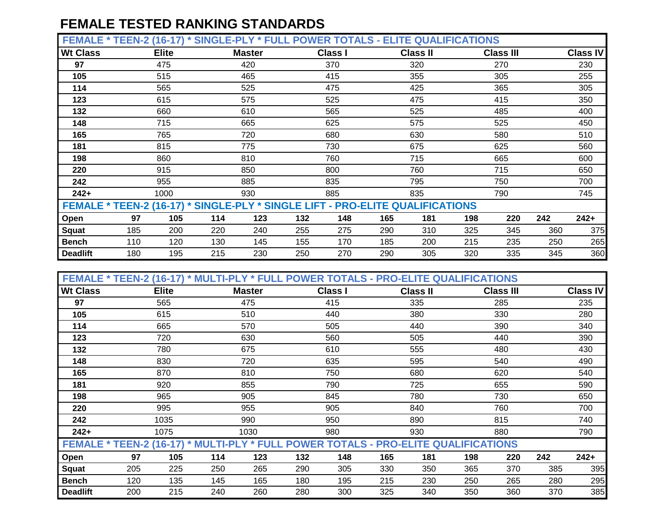**FEMALE \* TEEN-2 (16-17) \* SINGLE-PLY \* FULL POWER TOTALS - ELITE QUALIFICATIONS**

|                 |     | .            |                                                                               |               |     |                |     |                 |     |                  |     |                 |
|-----------------|-----|--------------|-------------------------------------------------------------------------------|---------------|-----|----------------|-----|-----------------|-----|------------------|-----|-----------------|
| <b>Wt Class</b> |     | <b>Elite</b> |                                                                               | <b>Master</b> |     | <b>Class I</b> |     | <b>Class II</b> |     | <b>Class III</b> |     | <b>Class IV</b> |
| 97              |     | 475          |                                                                               | 420           |     | 370            |     | 320             |     | 270              |     | 230             |
| 105             |     | 515          |                                                                               | 465           |     | 415            |     | 355             |     | 305              |     | 255             |
| 114             |     | 565          |                                                                               | 525           |     | 475            |     | 425             |     | 365              |     | 305             |
| 123             |     | 615          |                                                                               | 575           |     | 525            |     | 475             |     | 415              |     | 350             |
| 132             |     | 660          |                                                                               | 610           |     | 565            |     | 525             |     | 485              |     | 400             |
| 148             |     | 715          |                                                                               | 665           |     | 625            |     | 575             |     | 525              |     | 450             |
| 165             |     | 765          |                                                                               | 720           |     | 680            |     | 630             |     | 580              |     | 510             |
| 181             |     | 815          |                                                                               | 775           |     | 730            |     | 675             |     | 625              |     | 560             |
| 198             |     | 860          |                                                                               | 810           |     | 760            |     | 715             |     | 665              |     | 600             |
| 220             |     | 915          |                                                                               | 850           |     | 800            |     | 760             |     | 715              |     | 650             |
| 242             |     | 955          |                                                                               | 885           |     | 835            |     | 795             |     | 750              |     | 700             |
| $242+$          |     | 1000         |                                                                               | 930           |     | 885            |     | 835             |     | 790              |     | 745             |
|                 |     |              | FEMALE * TEEN-2 (16-17) * SINGLE-PLY * SINGLE LIFT - PRO-ELITE QUALIFICATIONS |               |     |                |     |                 |     |                  |     |                 |
| Open            | 97  | 105          | 114                                                                           | 123           | 132 | 148            | 165 | 181             | 198 | 220              | 242 | $242+$          |
| <b>Squat</b>    | 185 | 200          | 220                                                                           | 240           | 255 | 275            | 290 | 310             | 325 | 345              | 360 | 375             |
| <b>Bench</b>    | 110 | 120          | 130                                                                           | 145           | 155 | 170            | 185 | 200             | 215 | 235              | 250 | 265             |
| <b>Deadlift</b> | 180 | 195          | 215                                                                           | 230           | 250 | 270            | 290 | 305             | 320 | 335              | 345 | 360             |

| FEMALE * TEEN-2 (16-17) * MULTI-PLY * FULL POWER TOTALS - PRO-ELITE QUALIFICATIONS |     |              |            |               |     |                |     |                 |     |                  |     |                 |
|------------------------------------------------------------------------------------|-----|--------------|------------|---------------|-----|----------------|-----|-----------------|-----|------------------|-----|-----------------|
| <b>Wt Class</b>                                                                    |     | <b>Elite</b> |            | <b>Master</b> |     | <b>Class I</b> |     | <b>Class II</b> |     | <b>Class III</b> |     | <b>Class IV</b> |
| 97                                                                                 |     | 565          |            | 475           |     | 415            |     | 335             |     | 285              |     | 235             |
| 105                                                                                |     | 615          |            | 510           |     | 440            |     | 380             |     | 330              |     | 280             |
| 114                                                                                |     | 665          |            | 570           |     | 505            |     | 440             |     | 390              |     | 340             |
| 123                                                                                |     | 720          |            | 630           |     | 560            |     | 505             |     | 440              |     | 390             |
| 132                                                                                |     | 780          |            | 675           |     | 610            |     | 555             |     | 480              |     | 430             |
| 148                                                                                |     | 830          | 720<br>810 |               |     | 635            |     | 595             |     | 540              |     | 490             |
| 165                                                                                |     | 870          |            |               |     | 750            |     | 680             |     | 620              |     | 540             |
| 181                                                                                |     | 920<br>855   |            |               |     | 790            |     | 725             |     | 655              |     | 590             |
| 198                                                                                |     | 965          |            | 905           |     | 845            |     | 780             |     | 730              |     | 650             |
| 220                                                                                |     | 995          |            | 955           |     | 905            |     | 840             |     | 760              |     | 700             |
| 242                                                                                |     | 1035         |            | 990           |     | 950            |     | 890             |     | 815              |     | 740             |
| $242+$                                                                             |     | 1075         |            | 1030          |     | 980            |     | 930             |     | 880              |     | 790             |
| FEMALE * TEEN-2 (16-17) * MULTI-PLY * FULL POWER TOTALS - PRO-ELITE QUALIFICATIONS |     |              |            |               |     |                |     |                 |     |                  |     |                 |
| Open                                                                               | 97  | 105          | 114        | 123           | 132 | 148            | 165 | 181             | 198 | 220              | 242 | $242+$          |
| <b>Squat</b>                                                                       | 205 | 225          | 250        | 265           | 290 | 305            | 330 | 350             | 365 | 370              | 385 | 395             |
| <b>Bench</b>                                                                       | 120 | 135          | 145        | 165           | 180 | 195            | 215 | 230             | 250 | 265              | 280 | 295             |
| <b>Deadlift</b>                                                                    | 200 | 215          | 240        | 260           | 280 | 300            | 325 | 340             | 350 | 360              | 370 | 385             |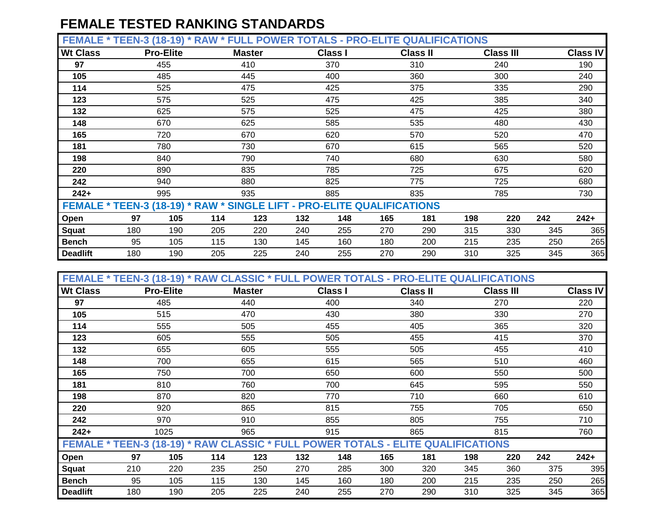**FEMALE \* TEEN-3 (18-19) \* RAW \* FULL POWER TOTALS - PRO-ELITE QUALIFICATIONS**

| --------                                                               | $1 - 11$ |                  | <b>.</b> | --            |     |                | .   |                 |     |                  |     |                 |
|------------------------------------------------------------------------|----------|------------------|----------|---------------|-----|----------------|-----|-----------------|-----|------------------|-----|-----------------|
| <b>Wt Class</b>                                                        |          | <b>Pro-Elite</b> |          | <b>Master</b> |     | <b>Class I</b> |     | <b>Class II</b> |     | <b>Class III</b> |     | <b>Class IV</b> |
| 97                                                                     |          | 455              |          | 410           |     | 370            |     | 310             |     | 240              |     | 190             |
| 105                                                                    |          | 485              |          | 445           |     | 400            |     | 360             |     | 300              |     | 240             |
| 114                                                                    |          | 525              |          | 475           |     | 425            |     | 375             |     | 335              |     | 290             |
| 123                                                                    |          | 575              |          | 525           |     | 475            |     | 425             |     | 385              |     | 340             |
| 132                                                                    |          | 625              |          | 575           |     | 525            |     | 475             |     | 425              |     | 380             |
| 148                                                                    |          | 670              |          | 625           |     | 585            |     | 535             |     | 480              |     | 430             |
| 165                                                                    |          | 720              |          | 670           |     | 620            |     | 570             |     | 520              |     | 470             |
| 181                                                                    |          | 780              |          |               |     | 670            |     | 615             |     | 565              |     | 520             |
| 198                                                                    |          | 840              |          | 790           |     | 740            |     | 680             |     | 630              |     | 580             |
| 220                                                                    |          | 890              |          | 835           |     | 785            |     | 725             |     | 675              |     | 620             |
| 242                                                                    |          | 940              |          | 880           |     | 825            |     | 775             |     | 725              |     | 680             |
| $242+$                                                                 |          | 995              |          | 935           |     | 885            |     | 835             |     | 785              |     | 730             |
| FEMALE * TEEN-3 (18-19) * RAW * SINGLE LIFT - PRO-ELITE QUALIFICATIONS |          |                  |          |               |     |                |     |                 |     |                  |     |                 |
| Open                                                                   | 97       | 105              | 114      | 123           | 132 | 148            | 165 | 181             | 198 | 220              | 242 | $242+$          |
| Squat                                                                  | 180      | 190              | 205      | 220           | 240 | 255            | 270 | 290             | 315 | 330              | 345 | 365             |
| <b>Bench</b>                                                           | 95       | 105              | 115      | 130           | 145 | 160            | 180 | 200             | 215 | 235              | 250 | 265             |
| <b>Deadlift</b>                                                        | 180      | 190              | 205      | 225           | 240 | 255            | 270 | 290             | 310 | 325              | 345 | 365             |

| FEMALE * TEEN-3 (18-19) * RAW CLASSIC * FULL POWER TOTALS - PRO-ELITE QUALIFICATIONS |     |                  |     |               |     |                |     |                 |     |                  |     |                 |
|--------------------------------------------------------------------------------------|-----|------------------|-----|---------------|-----|----------------|-----|-----------------|-----|------------------|-----|-----------------|
| <b>Wt Class</b>                                                                      |     | <b>Pro-Elite</b> |     | <b>Master</b> |     | <b>Class I</b> |     | <b>Class II</b> |     | <b>Class III</b> |     | <b>Class IV</b> |
| 97                                                                                   |     | 485              |     | 440           |     | 400            |     | 340             |     | 270              |     | 220             |
| 105                                                                                  |     | 515              |     | 470           |     | 430            |     | 380             |     | 330              |     | 270             |
| 114                                                                                  |     | 555              |     | 505           |     | 455            |     | 405             |     | 365              |     | 320             |
| 123                                                                                  |     | 605              |     | 555           |     | 505            |     | 455             |     | 415              |     | 370             |
| 132                                                                                  |     | 655              |     | 605           |     | 555            |     | 505             |     | 455              |     | 410             |
| 148                                                                                  |     | 700              |     | 655<br>700    |     | 615            |     | 565             |     | 510              |     | 460             |
| 165                                                                                  |     | 750              |     |               |     | 650            |     | 600             |     | 550              |     | 500             |
| 181                                                                                  |     | 810              |     | 760           |     | 700            |     | 645             |     | 595              |     | 550             |
| 198                                                                                  |     | 870              |     | 820           |     | 770            |     | 710             |     | 660              |     | 610             |
| 220                                                                                  |     | 920              |     | 865           |     | 815            |     | 755             |     | 705              |     | 650             |
| 242                                                                                  |     | 970              |     | 910           |     | 855            |     | 805             |     | 755              |     | 710             |
| $242+$                                                                               |     | 1025             |     | 965           |     | 915            |     | 865             |     | 815              |     | 760             |
| FEMALE * TEEN-3 (18-19) * RAW CLASSIC * FULL POWER TOTALS - ELITE QUALIFICATIONS     |     |                  |     |               |     |                |     |                 |     |                  |     |                 |
| Open                                                                                 | 97  | 105              | 114 | 123           | 132 | 148            | 165 | 181             | 198 | 220              | 242 | $242+$          |
| <b>Squat</b>                                                                         | 210 | 220              | 235 | 250           | 270 | 285            | 300 | 320             | 345 | 360              | 375 | 395             |
| <b>Bench</b>                                                                         | 95  | 105              | 115 | 130           | 145 | 160            | 180 | 200             | 215 | 235              | 250 | 265             |
| <b>Deadlift</b>                                                                      | 180 | 190              | 205 | 225           | 240 | 255            | 270 | 290             | 310 | 325              | 345 | 365             |